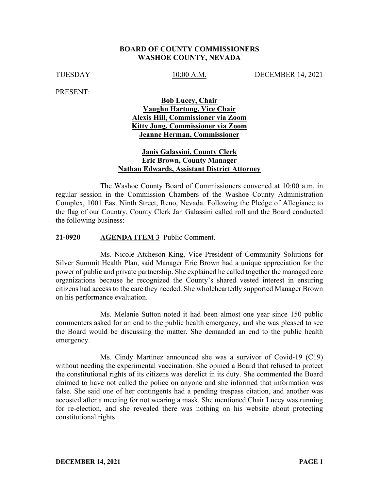#### **BOARD OF COUNTY COMMISSIONERS WASHOE COUNTY, NEVADA**

TUESDAY 10:00 A.M. DECEMBER 14, 2021

PRESENT:

### **Bob Lucey, Chair Vaughn Hartung, Vice Chair Alexis Hill, Commissioner via Zoom Kitty Jung, Commissioner via Zoom Jeanne Herman, Commissioner**

### **Janis Galassini, County Clerk Eric Brown, County Manager Nathan Edwards, Assistant District Attorney**

The Washoe County Board of Commissioners convened at 10:00 a.m. in regular session in the Commission Chambers of the Washoe County Administration Complex, 1001 East Ninth Street, Reno, Nevada. Following the Pledge of Allegiance to the flag of our Country, County Clerk Jan Galassini called roll and the Board conducted the following business:

#### **21-0920 AGENDA ITEM 3** Public Comment.

Ms. Nicole Atcheson King, Vice President of Community Solutions for Silver Summit Health Plan, said Manager Eric Brown had a unique appreciation for the power of public and private partnership. She explained he called together the managed care organizations because he recognized the County's shared vested interest in ensuring citizens had access to the care they needed. She wholeheartedly supported Manager Brown on his performance evaluation.

Ms. Melanie Sutton noted it had been almost one year since 150 public commenters asked for an end to the public health emergency, and she was pleased to see the Board would be discussing the matter. She demanded an end to the public health emergency.

Ms. Cindy Martinez announced she was a survivor of Covid-19 (C19) without needing the experimental vaccination. She opined a Board that refused to protect the constitutional rights of its citizens was derelict in its duty. She commented the Board claimed to have not called the police on anyone and she informed that information was false. She said one of her contingents had a pending trespass citation, and another was accosted after a meeting for not wearing a mask. She mentioned Chair Lucey was running for re-election, and she revealed there was nothing on his website about protecting constitutional rights.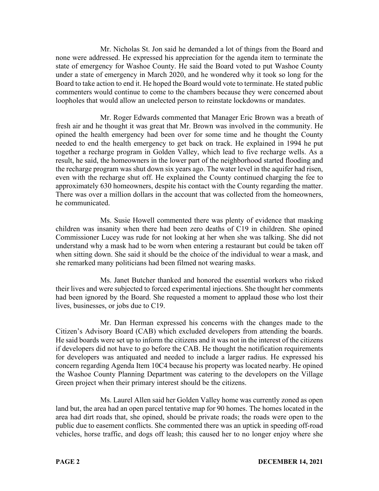Mr. Nicholas St. Jon said he demanded a lot of things from the Board and none were addressed. He expressed his appreciation for the agenda item to terminate the state of emergency for Washoe County. He said the Board voted to put Washoe County under a state of emergency in March 2020, and he wondered why it took so long for the Board to take action to end it. He hoped the Board would vote to terminate. He stated public commenters would continue to come to the chambers because they were concerned about loopholes that would allow an unelected person to reinstate lockdowns or mandates.

Mr. Roger Edwards commented that Manager Eric Brown was a breath of fresh air and he thought it was great that Mr. Brown was involved in the community. He opined the health emergency had been over for some time and he thought the County needed to end the health emergency to get back on track. He explained in 1994 he put together a recharge program in Golden Valley, which lead to five recharge wells. As a result, he said, the homeowners in the lower part of the neighborhood started flooding and the recharge program was shut down six years ago. The water level in the aquifer had risen, even with the recharge shut off. He explained the County continued charging the fee to approximately 630 homeowners, despite his contact with the County regarding the matter. There was over a million dollars in the account that was collected from the homeowners, he communicated.

Ms. Susie Howell commented there was plenty of evidence that masking children was insanity when there had been zero deaths of C19 in children. She opined Commissioner Lucey was rude for not looking at her when she was talking. She did not understand why a mask had to be worn when entering a restaurant but could be taken off when sitting down. She said it should be the choice of the individual to wear a mask, and she remarked many politicians had been filmed not wearing masks.

Ms. Janet Butcher thanked and honored the essential workers who risked their lives and were subjected to forced experimental injections. She thought her comments had been ignored by the Board. She requested a moment to applaud those who lost their lives, businesses, or jobs due to C19.

Mr. Dan Herman expressed his concerns with the changes made to the Citizen's Advisory Board (CAB) which excluded developers from attending the boards. He said boards were set up to inform the citizens and it was not in the interest of the citizens if developers did not have to go before the CAB. He thought the notification requirements for developers was antiquated and needed to include a larger radius. He expressed his concern regarding Agenda Item 10C4 because his property was located nearby. He opined the Washoe County Planning Department was catering to the developers on the Village Green project when their primary interest should be the citizens.

Ms. Laurel Allen said her Golden Valley home was currently zoned as open land but, the area had an open parcel tentative map for 90 homes. The homes located in the area had dirt roads that, she opined, should be private roads; the roads were open to the public due to easement conflicts. She commented there was an uptick in speeding off-road vehicles, horse traffic, and dogs off leash; this caused her to no longer enjoy where she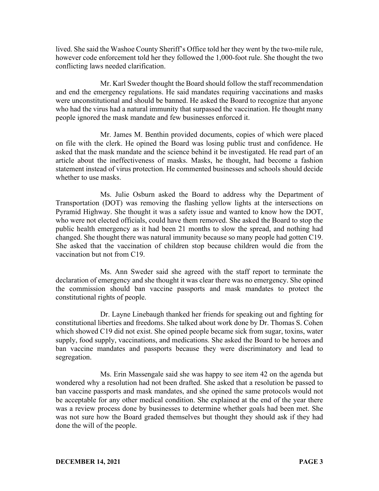lived. She said the Washoe County Sheriff's Office told her they went by the two-mile rule, however code enforcement told her they followed the 1,000-foot rule. She thought the two conflicting laws needed clarification.

Mr. Karl Sweder thought the Board should follow the staff recommendation and end the emergency regulations. He said mandates requiring vaccinations and masks were unconstitutional and should be banned. He asked the Board to recognize that anyone who had the virus had a natural immunity that surpassed the vaccination. He thought many people ignored the mask mandate and few businesses enforced it.

Mr. James M. Benthin provided documents, copies of which were placed on file with the clerk. He opined the Board was losing public trust and confidence. He asked that the mask mandate and the science behind it be investigated. He read part of an article about the ineffectiveness of masks. Masks, he thought, had become a fashion statement instead of virus protection. He commented businesses and schools should decide whether to use masks.

Ms. Julie Osburn asked the Board to address why the Department of Transportation (DOT) was removing the flashing yellow lights at the intersections on Pyramid Highway. She thought it was a safety issue and wanted to know how the DOT, who were not elected officials, could have them removed. She asked the Board to stop the public health emergency as it had been 21 months to slow the spread, and nothing had changed. She thought there was natural immunity because so many people had gotten C19. She asked that the vaccination of children stop because children would die from the vaccination but not from C19.

Ms. Ann Sweder said she agreed with the staff report to terminate the declaration of emergency and she thought it was clear there was no emergency. She opined the commission should ban vaccine passports and mask mandates to protect the constitutional rights of people.

Dr. Layne Linebaugh thanked her friends for speaking out and fighting for constitutional liberties and freedoms. She talked about work done by Dr. Thomas S. Cohen which showed C19 did not exist. She opined people became sick from sugar, toxins, water supply, food supply, vaccinations, and medications. She asked the Board to be heroes and ban vaccine mandates and passports because they were discriminatory and lead to segregation.

Ms. Erin Massengale said she was happy to see item 42 on the agenda but wondered why a resolution had not been drafted. She asked that a resolution be passed to ban vaccine passports and mask mandates, and she opined the same protocols would not be acceptable for any other medical condition. She explained at the end of the year there was a review process done by businesses to determine whether goals had been met. She was not sure how the Board graded themselves but thought they should ask if they had done the will of the people.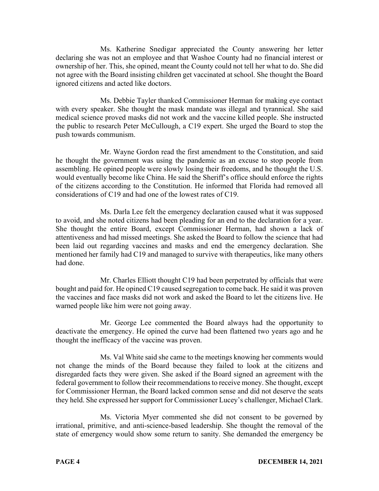Ms. Katherine Snedigar appreciated the County answering her letter declaring she was not an employee and that Washoe County had no financial interest or ownership of her. This, she opined, meant the County could not tell her what to do. She did not agree with the Board insisting children get vaccinated at school. She thought the Board ignored citizens and acted like doctors.

Ms. Debbie Tayler thanked Commissioner Herman for making eye contact with every speaker. She thought the mask mandate was illegal and tyrannical. She said medical science proved masks did not work and the vaccine killed people. She instructed the public to research Peter McCullough, a C19 expert. She urged the Board to stop the push towards communism.

Mr. Wayne Gordon read the first amendment to the Constitution, and said he thought the government was using the pandemic as an excuse to stop people from assembling. He opined people were slowly losing their freedoms, and he thought the U.S. would eventually become like China. He said the Sheriff's office should enforce the rights of the citizens according to the Constitution. He informed that Florida had removed all considerations of C19 and had one of the lowest rates of C19.

Ms. Darla Lee felt the emergency declaration caused what it was supposed to avoid, and she noted citizens had been pleading for an end to the declaration for a year. She thought the entire Board, except Commissioner Herman, had shown a lack of attentiveness and had missed meetings. She asked the Board to follow the science that had been laid out regarding vaccines and masks and end the emergency declaration. She mentioned her family had C19 and managed to survive with therapeutics, like many others had done.

Mr. Charles Elliott thought C19 had been perpetrated by officials that were bought and paid for. He opined C19 caused segregation to come back. He said it was proven the vaccines and face masks did not work and asked the Board to let the citizens live. He warned people like him were not going away.

Mr. George Lee commented the Board always had the opportunity to deactivate the emergency. He opined the curve had been flattened two years ago and he thought the inefficacy of the vaccine was proven.

Ms. Val White said she came to the meetings knowing her comments would not change the minds of the Board because they failed to look at the citizens and disregarded facts they were given. She asked if the Board signed an agreement with the federal government to follow their recommendations to receive money. She thought, except for Commissioner Herman, the Board lacked common sense and did not deserve the seats they held. She expressed her support for Commissioner Lucey's challenger, Michael Clark.

Ms. Victoria Myer commented she did not consent to be governed by irrational, primitive, and anti-science-based leadership. She thought the removal of the state of emergency would show some return to sanity. She demanded the emergency be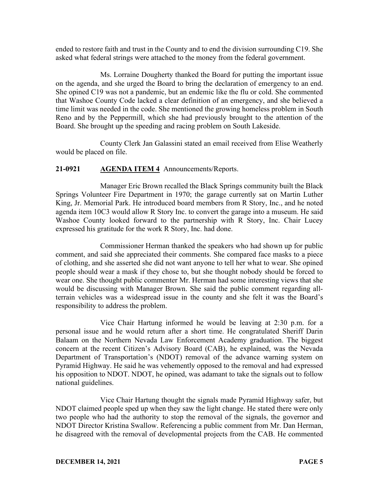ended to restore faith and trust in the County and to end the division surrounding C19. She asked what federal strings were attached to the money from the federal government.

Ms. Lorraine Dougherty thanked the Board for putting the important issue on the agenda, and she urged the Board to bring the declaration of emergency to an end. She opined C19 was not a pandemic, but an endemic like the flu or cold. She commented that Washoe County Code lacked a clear definition of an emergency, and she believed a time limit was needed in the code. She mentioned the growing homeless problem in South Reno and by the Peppermill, which she had previously brought to the attention of the Board. She brought up the speeding and racing problem on South Lakeside.

County Clerk Jan Galassini stated an email received from Elise Weatherly would be placed on file.

# **21-0921 AGENDA ITEM 4** Announcements/Reports.

Manager Eric Brown recalled the Black Springs community built the Black Springs Volunteer Fire Department in 1970; the garage currently sat on Martin Luther King, Jr. Memorial Park. He introduced board members from R Story, Inc., and he noted agenda item 10C3 would allow R Story Inc. to convert the garage into a museum. He said Washoe County looked forward to the partnership with R Story, Inc. Chair Lucey expressed his gratitude for the work R Story, Inc. had done.

Commissioner Herman thanked the speakers who had shown up for public comment, and said she appreciated their comments. She compared face masks to a piece of clothing, and she asserted she did not want anyone to tell her what to wear. She opined people should wear a mask if they chose to, but she thought nobody should be forced to wear one. She thought public commenter Mr. Herman had some interesting views that she would be discussing with Manager Brown. She said the public comment regarding allterrain vehicles was a widespread issue in the county and she felt it was the Board's responsibility to address the problem.

Vice Chair Hartung informed he would be leaving at 2:30 p.m. for a personal issue and he would return after a short time. He congratulated Sheriff Darin Balaam on the Northern Nevada Law Enforcement Academy graduation. The biggest concern at the recent Citizen's Advisory Board (CAB), he explained, was the Nevada Department of Transportation's (NDOT) removal of the advance warning system on Pyramid Highway. He said he was vehemently opposed to the removal and had expressed his opposition to NDOT. NDOT, he opined, was adamant to take the signals out to follow national guidelines.

Vice Chair Hartung thought the signals made Pyramid Highway safer, but NDOT claimed people sped up when they saw the light change. He stated there were only two people who had the authority to stop the removal of the signals, the governor and NDOT Director Kristina Swallow. Referencing a public comment from Mr. Dan Herman, he disagreed with the removal of developmental projects from the CAB. He commented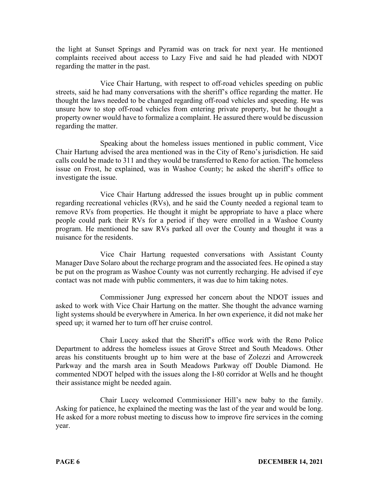the light at Sunset Springs and Pyramid was on track for next year. He mentioned complaints received about access to Lazy Five and said he had pleaded with NDOT regarding the matter in the past.

Vice Chair Hartung, with respect to off-road vehicles speeding on public streets, said he had many conversations with the sheriff's office regarding the matter. He thought the laws needed to be changed regarding off-road vehicles and speeding. He was unsure how to stop off-road vehicles from entering private property, but he thought a property owner would have to formalize a complaint. He assured there would be discussion regarding the matter.

Speaking about the homeless issues mentioned in public comment, Vice Chair Hartung advised the area mentioned was in the City of Reno's jurisdiction. He said calls could be made to 311 and they would be transferred to Reno for action. The homeless issue on Frost, he explained, was in Washoe County; he asked the sheriff's office to investigate the issue.

Vice Chair Hartung addressed the issues brought up in public comment regarding recreational vehicles (RVs), and he said the County needed a regional team to remove RVs from properties. He thought it might be appropriate to have a place where people could park their RVs for a period if they were enrolled in a Washoe County program. He mentioned he saw RVs parked all over the County and thought it was a nuisance for the residents.

Vice Chair Hartung requested conversations with Assistant County Manager Dave Solaro about the recharge program and the associated fees. He opined a stay be put on the program as Washoe County was not currently recharging. He advised if eye contact was not made with public commenters, it was due to him taking notes.

Commissioner Jung expressed her concern about the NDOT issues and asked to work with Vice Chair Hartung on the matter. She thought the advance warning light systems should be everywhere in America. In her own experience, it did not make her speed up; it warned her to turn off her cruise control.

Chair Lucey asked that the Sheriff's office work with the Reno Police Department to address the homeless issues at Grove Street and South Meadows. Other areas his constituents brought up to him were at the base of Zolezzi and Arrowcreek Parkway and the marsh area in South Meadows Parkway off Double Diamond. He commented NDOT helped with the issues along the I-80 corridor at Wells and he thought their assistance might be needed again.

Chair Lucey welcomed Commissioner Hill's new baby to the family. Asking for patience, he explained the meeting was the last of the year and would be long. He asked for a more robust meeting to discuss how to improve fire services in the coming year.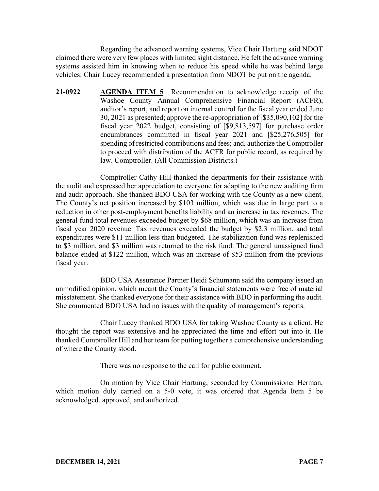Regarding the advanced warning systems, Vice Chair Hartung said NDOT claimed there were very few places with limited sight distance. He felt the advance warning systems assisted him in knowing when to reduce his speed while he was behind large vehicles. Chair Lucey recommended a presentation from NDOT be put on the agenda.

**21-0922 AGENDA ITEM 5** Recommendation to acknowledge receipt of the Washoe County Annual Comprehensive Financial Report (ACFR), auditor's report, and report on internal control for the fiscal year ended June 30, 2021 as presented; approve the re-appropriation of [\$35,090,102] for the fiscal year 2022 budget, consisting of [\$9,813,597] for purchase order encumbrances committed in fiscal year 2021 and [\$25,276,505] for spending of restricted contributions and fees; and, authorize the Comptroller to proceed with distribution of the ACFR for public record, as required by law. Comptroller. (All Commission Districts.)

Comptroller Cathy Hill thanked the departments for their assistance with the audit and expressed her appreciation to everyone for adapting to the new auditing firm and audit approach. She thanked BDO USA for working with the County as a new client. The County's net position increased by \$103 million, which was due in large part to a reduction in other post-employment benefits liability and an increase in tax revenues. The general fund total revenues exceeded budget by \$68 million, which was an increase from fiscal year 2020 revenue. Tax revenues exceeded the budget by \$2.3 million, and total expenditures were \$11 million less than budgeted. The stabilization fund was replenished to \$3 million, and \$3 million was returned to the risk fund. The general unassigned fund balance ended at \$122 million, which was an increase of \$53 million from the previous fiscal year.

BDO USA Assurance Partner Heidi Schumann said the company issued an unmodified opinion, which meant the County's financial statements were free of material misstatement. She thanked everyone for their assistance with BDO in performing the audit. She commented BDO USA had no issues with the quality of management's reports.

Chair Lucey thanked BDO USA for taking Washoe County as a client. He thought the report was extensive and he appreciated the time and effort put into it. He thanked Comptroller Hill and her team for putting together a comprehensive understanding of where the County stood.

There was no response to the call for public comment.

On motion by Vice Chair Hartung, seconded by Commissioner Herman, which motion duly carried on a 5-0 vote, it was ordered that Agenda Item 5 be acknowledged, approved, and authorized.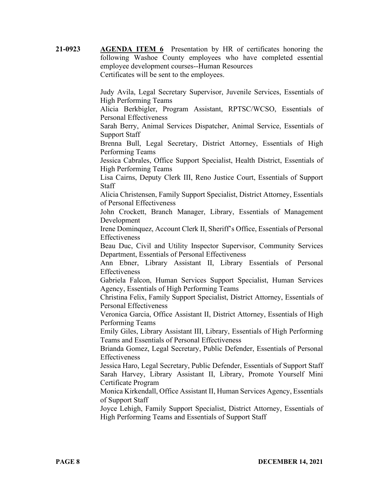**21-0923 AGENDA ITEM 6** Presentation by HR of certificates honoring the following Washoe County employees who have completed essential employee development courses--Human Resources Certificates will be sent to the employees.

> Judy Avila, Legal Secretary Supervisor, Juvenile Services, Essentials of High Performing Teams

> Alicia Berkbigler, Program Assistant, RPTSC/WCSO, Essentials of Personal Effectiveness

> Sarah Berry, Animal Services Dispatcher, Animal Service, Essentials of Support Staff

> Brenna Bull, Legal Secretary, District Attorney, Essentials of High Performing Teams

> Jessica Cabrales, Office Support Specialist, Health District, Essentials of High Performing Teams

> Lisa Cairns, Deputy Clerk III, Reno Justice Court, Essentials of Support **Staff**

> Alicia Christensen, Family Support Specialist, District Attorney, Essentials of Personal Effectiveness

> John Crockett, Branch Manager, Library, Essentials of Management Development

> Irene Dominquez, Account Clerk II, Sheriff's Office, Essentials of Personal Effectiveness

> Beau Duc, Civil and Utility Inspector Supervisor, Community Services Department, Essentials of Personal Effectiveness

> Ann Ebner, Library Assistant II, Library Essentials of Personal Effectiveness

> Gabriela Falcon, Human Services Support Specialist, Human Services Agency, Essentials of High Performing Teams

> Christina Felix, Family Support Specialist, District Attorney, Essentials of Personal Effectiveness

> Veronica Garcia, Office Assistant II, District Attorney, Essentials of High Performing Teams

> Emily Giles, Library Assistant III, Library, Essentials of High Performing Teams and Essentials of Personal Effectiveness

> Brianda Gomez, Legal Secretary, Public Defender, Essentials of Personal **Effectiveness**

> Jessica Haro, Legal Secretary, Public Defender, Essentials of Support Staff Sarah Harvey, Library Assistant II, Library, Promote Yourself Mini Certificate Program

> Monica Kirkendall, Office Assistant II, Human Services Agency, Essentials of Support Staff

> Joyce Lehigh, Family Support Specialist, District Attorney, Essentials of High Performing Teams and Essentials of Support Staff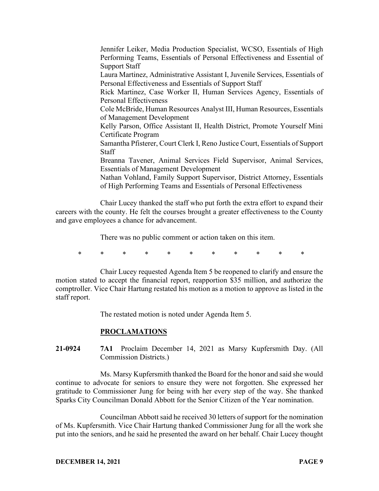Jennifer Leiker, Media Production Specialist, WCSO, Essentials of High Performing Teams, Essentials of Personal Effectiveness and Essential of Support Staff Laura Martinez, Administrative Assistant I, Juvenile Services, Essentials of Personal Effectiveness and Essentials of Support Staff Rick Martinez, Case Worker II, Human Services Agency, Essentials of Personal Effectiveness Cole McBride, Human Resources Analyst III, Human Resources, Essentials of Management Development Kelly Parson, Office Assistant II, Health District, Promote Yourself Mini Certificate Program Samantha Pfisterer, Court Clerk I, Reno Justice Court, Essentials of Support **Staff** Breanna Tavener, Animal Services Field Supervisor, Animal Services, Essentials of Management Development Nathan Vohland, Family Support Supervisor, District Attorney, Essentials of High Performing Teams and Essentials of Personal Effectiveness

Chair Lucey thanked the staff who put forth the extra effort to expand their careers with the county. He felt the courses brought a greater effectiveness to the County and gave employees a chance for advancement.

There was no public comment or action taken on this item.

\* \* \* \* \* \* \* \* \* \* \*

Chair Lucey requested Agenda Item 5 be reopened to clarify and ensure the motion stated to accept the financial report, reapportion \$35 million, and authorize the comptroller. Vice Chair Hartung restated his motion as a motion to approve as listed in the staff report.

The restated motion is noted under Agenda Item 5.

#### **PROCLAMATIONS**

**21-0924 7A1** Proclaim December 14, 2021 as Marsy Kupfersmith Day. (All Commission Districts.)

Ms. Marsy Kupfersmith thanked the Board for the honor and said she would continue to advocate for seniors to ensure they were not forgotten. She expressed her gratitude to Commissioner Jung for being with her every step of the way. She thanked Sparks City Councilman Donald Abbott for the Senior Citizen of the Year nomination.

Councilman Abbott said he received 30 letters of support for the nomination of Ms. Kupfersmith. Vice Chair Hartung thanked Commissioner Jung for all the work she put into the seniors, and he said he presented the award on her behalf. Chair Lucey thought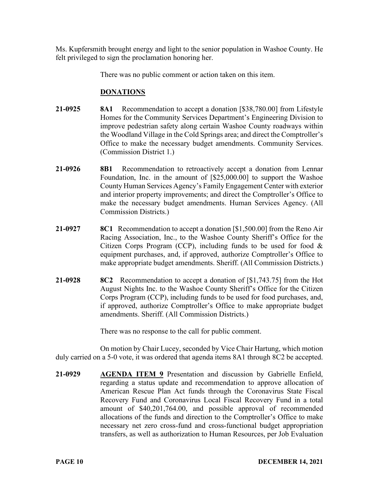Ms. Kupfersmith brought energy and light to the senior population in Washoe County. He felt privileged to sign the proclamation honoring her.

There was no public comment or action taken on this item.

## **DONATIONS**

- **21-0925 8A1** Recommendation to accept a donation [\$38,780.00] from Lifestyle Homes for the Community Services Department's Engineering Division to improve pedestrian safety along certain Washoe County roadways within the Woodland Village in the Cold Springs area; and direct the Comptroller's Office to make the necessary budget amendments. Community Services. (Commission District 1.)
- **21-0926 8B1** Recommendation to retroactively accept a donation from Lennar Foundation, Inc. in the amount of [\$25,000.00] to support the Washoe County Human Services Agency's Family Engagement Center with exterior and interior property improvements; and direct the Comptroller's Office to make the necessary budget amendments. Human Services Agency. (All Commission Districts.)
- **21-0927 8C1** Recommendation to accept a donation [\$1,500.00] from the Reno Air Racing Association, Inc., to the Washoe County Sheriff's Office for the Citizen Corps Program (CCP), including funds to be used for food  $\&$ equipment purchases, and, if approved, authorize Comptroller's Office to make appropriate budget amendments. Sheriff. (All Commission Districts.)
- **21-0928 8C2** Recommendation to accept a donation of [\$1,743.75] from the Hot August Nights Inc. to the Washoe County Sheriff's Office for the Citizen Corps Program (CCP), including funds to be used for food purchases, and, if approved, authorize Comptroller's Office to make appropriate budget amendments. Sheriff. (All Commission Districts.)

There was no response to the call for public comment.

On motion by Chair Lucey, seconded by Vice Chair Hartung, which motion duly carried on a 5-0 vote, it was ordered that agenda items 8A1 through 8C2 be accepted.

**21-0929 AGENDA ITEM 9** Presentation and discussion by Gabrielle Enfield, regarding a status update and recommendation to approve allocation of American Rescue Plan Act funds through the Coronavirus State Fiscal Recovery Fund and Coronavirus Local Fiscal Recovery Fund in a total amount of \$40,201,764.00, and possible approval of recommended allocations of the funds and direction to the Comptroller's Office to make necessary net zero cross-fund and cross-functional budget appropriation transfers, as well as authorization to Human Resources, per Job Evaluation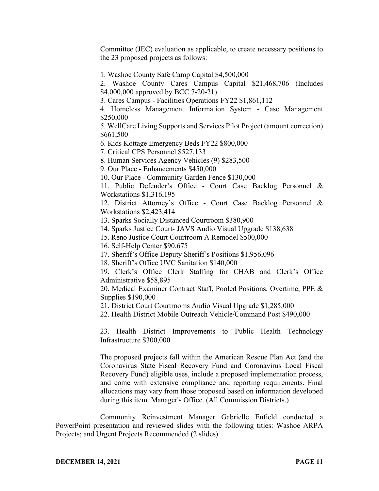Committee (JEC) evaluation as applicable, to create necessary positions to the 23 proposed projects as follows:

1. Washoe County Safe Camp Capital \$4,500,000

2. Washoe County Cares Campus Capital \$21,468,706 (Includes \$4,000,000 approved by BCC 7-20-21)

3. Cares Campus - Facilities Operations FY22 \$1,861,112

4. Homeless Management Information System - Case Management \$250,000

5. WellCare Living Supports and Services Pilot Project (amount correction) \$661,500

6. Kids Kottage Emergency Beds FY22 \$800,000

7. Critical CPS Personnel \$527,133

8. Human Services Agency Vehicles (9) \$283,500

9. Our Place - Enhancements \$450,000

10. Our Place - Community Garden Fence \$130,000

11. Public Defender's Office - Court Case Backlog Personnel & Workstations \$1,316,195

12. District Attorney's Office - Court Case Backlog Personnel & Workstations \$2,423,414

13. Sparks Socially Distanced Courtroom \$380,900

14. Sparks Justice Court- JAVS Audio Visual Upgrade \$138,638

15. Reno Justice Court Courtroom A Remodel \$500,000

16. Self-Help Center \$90,675

17. Sheriff's Office Deputy Sheriff's Positions \$1,956,096

18. Sheriff's Office UVC Sanitation \$140,000

19. Clerk's Office Clerk Staffing for CHAB and Clerk's Office Administrative \$58,895

20. Medical Examiner Contract Staff, Pooled Positions, Overtime, PPE & Supplies \$190,000

21. District Court Courtrooms Audio Visual Upgrade \$1,285,000

22. Health District Mobile Outreach Vehicle/Command Post \$490,000

23. Health District Improvements to Public Health Technology Infrastructure \$300,000

The proposed projects fall within the American Rescue Plan Act (and the Coronavirus State Fiscal Recovery Fund and Coronavirus Local Fiscal Recovery Fund) eligible uses, include a proposed implementation process, and come with extensive compliance and reporting requirements. Final allocations may vary from those proposed based on information developed during this item. Manager's Office. (All Commission Districts.)

Community Reinvestment Manager Gabrielle Enfield conducted a PowerPoint presentation and reviewed slides with the following titles: Washoe ARPA Projects; and Urgent Projects Recommended (2 slides).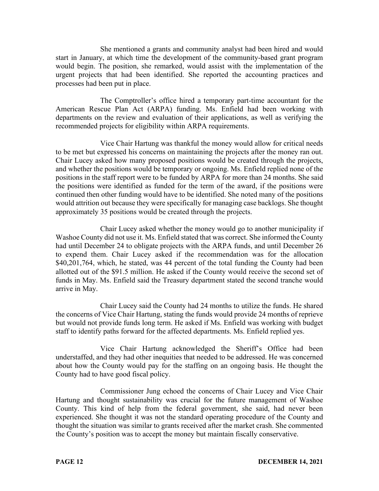She mentioned a grants and community analyst had been hired and would start in January, at which time the development of the community-based grant program would begin. The position, she remarked, would assist with the implementation of the urgent projects that had been identified. She reported the accounting practices and processes had been put in place.

The Comptroller's office hired a temporary part-time accountant for the American Rescue Plan Act (ARPA) funding. Ms. Enfield had been working with departments on the review and evaluation of their applications, as well as verifying the recommended projects for eligibility within ARPA requirements.

Vice Chair Hartung was thankful the money would allow for critical needs to be met but expressed his concerns on maintaining the projects after the money ran out. Chair Lucey asked how many proposed positions would be created through the projects, and whether the positions would be temporary or ongoing. Ms. Enfield replied none of the positions in the staff report were to be funded by ARPA for more than 24 months. She said the positions were identified as funded for the term of the award, if the positions were continued then other funding would have to be identified. She noted many of the positions would attrition out because they were specifically for managing case backlogs. She thought approximately 35 positions would be created through the projects.

Chair Lucey asked whether the money would go to another municipality if Washoe County did not use it. Ms. Enfield stated that was correct. She informed the County had until December 24 to obligate projects with the ARPA funds, and until December 26 to expend them. Chair Lucey asked if the recommendation was for the allocation \$40,201,764, which, he stated, was 44 percent of the total funding the County had been allotted out of the \$91.5 million. He asked if the County would receive the second set of funds in May. Ms. Enfield said the Treasury department stated the second tranche would arrive in May.

Chair Lucey said the County had 24 months to utilize the funds. He shared the concerns of Vice Chair Hartung, stating the funds would provide 24 months of reprieve but would not provide funds long term. He asked if Ms. Enfield was working with budget staff to identify paths forward for the affected departments. Ms. Enfield replied yes.

Vice Chair Hartung acknowledged the Sheriff's Office had been understaffed, and they had other inequities that needed to be addressed. He was concerned about how the County would pay for the staffing on an ongoing basis. He thought the County had to have good fiscal policy.

Commissioner Jung echoed the concerns of Chair Lucey and Vice Chair Hartung and thought sustainability was crucial for the future management of Washoe County. This kind of help from the federal government, she said, had never been experienced. She thought it was not the standard operating procedure of the County and thought the situation was similar to grants received after the market crash. She commented the County's position was to accept the money but maintain fiscally conservative.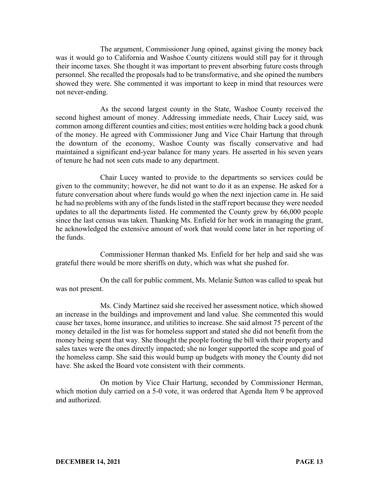The argument, Commissioner Jung opined, against giving the money back was it would go to California and Washoe County citizens would still pay for it through their income taxes. She thought it was important to prevent absorbing future costs through personnel. She recalled the proposals had to be transformative, and she opined the numbers showed they were. She commented it was important to keep in mind that resources were not never-ending.

As the second largest county in the State, Washoe County received the second highest amount of money. Addressing immediate needs, Chair Lucey said, was common among different counties and cities; most entities were holding back a good chunk of the money. He agreed with Commissioner Jung and Vice Chair Hartung that through the downturn of the economy, Washoe County was fiscally conservative and had maintained a significant end-year balance for many years. He asserted in his seven years of tenure he had not seen cuts made to any department.

Chair Lucey wanted to provide to the departments so services could be given to the community; however, he did not want to do it as an expense. He asked for a future conversation about where funds would go when the next injection came in. He said he had no problems with any of the funds listed in the staff report because they were needed updates to all the departments listed. He commented the County grew by 66,000 people since the last census was taken. Thanking Ms. Enfield for her work in managing the grant, he acknowledged the extensive amount of work that would come later in her reporting of the funds.

Commissioner Herman thanked Ms. Enfield for her help and said she was grateful there would be more sheriffs on duty, which was what she pushed for.

On the call for public comment, Ms. Melanie Sutton was called to speak but was not present.

Ms. Cindy Martinez said she received her assessment notice, which showed an increase in the buildings and improvement and land value. She commented this would cause her taxes, home insurance, and utilities to increase. She said almost 75 percent of the money detailed in the list was for homeless support and stated she did not benefit from the money being spent that way. She thought the people footing the bill with their property and sales taxes were the ones directly impacted; she no longer supported the scope and goal of the homeless camp. She said this would bump up budgets with money the County did not have. She asked the Board vote consistent with their comments.

On motion by Vice Chair Hartung, seconded by Commissioner Herman, which motion duly carried on a 5-0 vote, it was ordered that Agenda Item 9 be approved and authorized.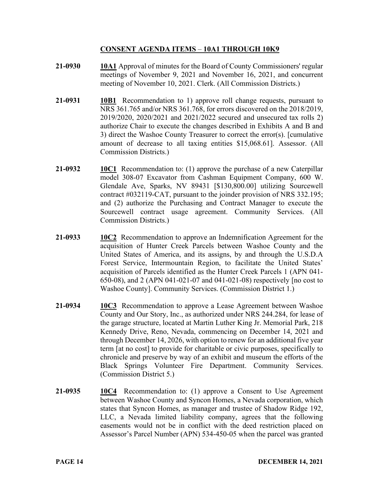## **CONSENT AGENDA ITEMS** – **10A1 THROUGH 10K9**

- **21-0930 10A1** Approval of minutes for the Board of County Commissioners' regular meetings of November 9, 2021 and November 16, 2021, and concurrent meeting of November 10, 2021. Clerk. (All Commission Districts.)
- **21-0931 10B1** Recommendation to 1) approve roll change requests, pursuant to NRS 361.765 and/or NRS 361.768, for errors discovered on the 2018/2019, 2019/2020, 2020/2021 and 2021/2022 secured and unsecured tax rolls 2) authorize Chair to execute the changes described in Exhibits A and B and 3) direct the Washoe County Treasurer to correct the error(s). [cumulative amount of decrease to all taxing entities \$15,068.61]. Assessor. (All Commission Districts.)
- **21-0932 10C1** Recommendation to: (1) approve the purchase of a new Caterpillar model 308-07 Excavator from Cashman Equipment Company, 600 W. Glendale Ave, Sparks, NV 89431 [\$130,800.00] utilizing Sourcewell contract #032119-CAT, pursuant to the joinder provision of NRS 332.195; and (2) authorize the Purchasing and Contract Manager to execute the Sourcewell contract usage agreement. Community Services. (All Commission Districts.)
- **21-0933 10C2** Recommendation to approve an Indemnification Agreement for the acquisition of Hunter Creek Parcels between Washoe County and the United States of America, and its assigns, by and through the U.S.D.A Forest Service, Intermountain Region, to facilitate the United States' acquisition of Parcels identified as the Hunter Creek Parcels 1 (APN 041- 650-08), and 2 (APN 041-021-07 and 041-021-08) respectively [no cost to Washoe County]. Community Services. (Commission District 1.)
- **21-0934 10C3** Recommendation to approve a Lease Agreement between Washoe County and Our Story, Inc., as authorized under NRS 244.284, for lease of the garage structure, located at Martin Luther King Jr. Memorial Park, 218 Kennedy Drive, Reno, Nevada, commencing on December 14, 2021 and through December 14, 2026, with option to renew for an additional five year term [at no cost] to provide for charitable or civic purposes, specifically to chronicle and preserve by way of an exhibit and museum the efforts of the Black Springs Volunteer Fire Department. Community Services. (Commission District 5.)
- **21-0935 10C4** Recommendation to: (1) approve a Consent to Use Agreement between Washoe County and Syncon Homes, a Nevada corporation, which states that Syncon Homes, as manager and trustee of Shadow Ridge 192, LLC, a Nevada limited liability company, agrees that the following easements would not be in conflict with the deed restriction placed on Assessor's Parcel Number (APN) 534-450-05 when the parcel was granted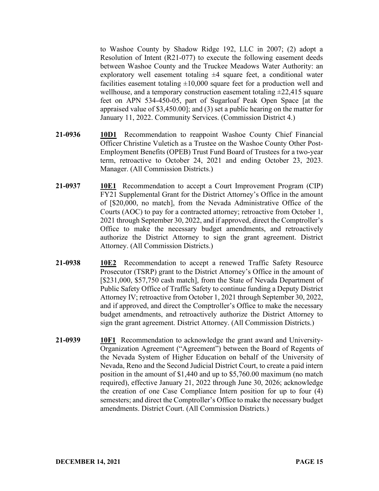to Washoe County by Shadow Ridge 192, LLC in 2007; (2) adopt a Resolution of Intent (R21-077) to execute the following easement deeds between Washoe County and the Truckee Meadows Water Authority: an exploratory well easement totaling  $\pm 4$  square feet, a conditional water facilities easement totaling  $\pm 10,000$  square feet for a production well and wellhouse, and a temporary construction easement totaling  $\pm$ 22,415 square feet on APN 534-450-05, part of Sugarloaf Peak Open Space [at the appraised value of \$3,450.00]; and (3) set a public hearing on the matter for January 11, 2022. Community Services. (Commission District 4.)

- **21-0936 10D1** Recommendation to reappoint Washoe County Chief Financial Officer Christine Vuletich as a Trustee on the Washoe County Other Post-Employment Benefits (OPEB) Trust Fund Board of Trustees for a two-year term, retroactive to October 24, 2021 and ending October 23, 2023. Manager. (All Commission Districts.)
- **21-0937 10E1** Recommendation to accept a Court Improvement Program (CIP) FY21 Supplemental Grant for the District Attorney's Office in the amount of [\$20,000, no match], from the Nevada Administrative Office of the Courts (AOC) to pay for a contracted attorney; retroactive from October 1, 2021 through September 30, 2022, and if approved, direct the Comptroller's Office to make the necessary budget amendments, and retroactively authorize the District Attorney to sign the grant agreement. District Attorney. (All Commission Districts.)
- **21-0938 10E2** Recommendation to accept a renewed Traffic Safety Resource Prosecutor (TSRP) grant to the District Attorney's Office in the amount of [\$231,000, \$57,750 cash match], from the State of Nevada Department of Public Safety Office of Traffic Safety to continue funding a Deputy District Attorney IV; retroactive from October 1, 2021 through September 30, 2022, and if approved, and direct the Comptroller's Office to make the necessary budget amendments, and retroactively authorize the District Attorney to sign the grant agreement. District Attorney. (All Commission Districts.)
- **21-0939 10F1** Recommendation to acknowledge the grant award and University-Organization Agreement ("Agreement") between the Board of Regents of the Nevada System of Higher Education on behalf of the University of Nevada, Reno and the Second Judicial District Court, to create a paid intern position in the amount of \$1,440 and up to \$5,760.00 maximum (no match required), effective January 21, 2022 through June 30, 2026; acknowledge the creation of one Case Compliance Intern position for up to four (4) semesters; and direct the Comptroller's Office to make the necessary budget amendments. District Court. (All Commission Districts.)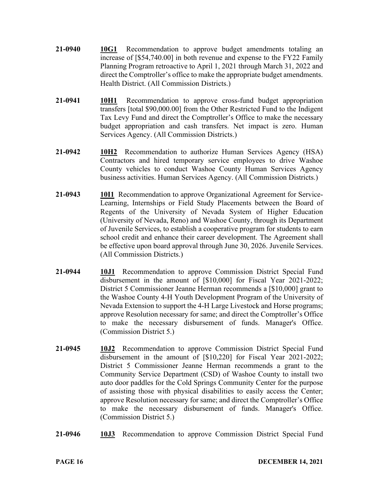- **21-0940 10G1** Recommendation to approve budget amendments totaling an increase of [\$54,740.00] in both revenue and expense to the FY22 Family Planning Program retroactive to April 1, 2021 through March 31, 2022 and direct the Comptroller's office to make the appropriate budget amendments. Health District. (All Commission Districts.)
- **21-0941 10H1** Recommendation to approve cross-fund budget appropriation transfers [total \$90,000.00] from the Other Restricted Fund to the Indigent Tax Levy Fund and direct the Comptroller's Office to make the necessary budget appropriation and cash transfers. Net impact is zero. Human Services Agency. (All Commission Districts.)
- **21-0942 10H2** Recommendation to authorize Human Services Agency (HSA) Contractors and hired temporary service employees to drive Washoe County vehicles to conduct Washoe County Human Services Agency business activities. Human Services Agency. (All Commission Districts.)
- **21-0943 10I1** Recommendation to approve Organizational Agreement for Service-Learning, Internships or Field Study Placements between the Board of Regents of the University of Nevada System of Higher Education (University of Nevada, Reno) and Washoe County, through its Department of Juvenile Services, to establish a cooperative program for students to earn school credit and enhance their career development. The Agreement shall be effective upon board approval through June 30, 2026. Juvenile Services. (All Commission Districts.)
- **21-0944 10J1** Recommendation to approve Commission District Special Fund disbursement in the amount of [\$10,000] for Fiscal Year 2021-2022; District 5 Commissioner Jeanne Herman recommends a [\$10,000] grant to the Washoe County 4-H Youth Development Program of the University of Nevada Extension to support the 4-H Large Livestock and Horse programs; approve Resolution necessary for same; and direct the Comptroller's Office to make the necessary disbursement of funds. Manager's Office. (Commission District 5.)
- **21-0945 10J2** Recommendation to approve Commission District Special Fund disbursement in the amount of [\$10,220] for Fiscal Year 2021-2022; District 5 Commissioner Jeanne Herman recommends a grant to the Community Service Department (CSD) of Washoe County to install two auto door paddles for the Cold Springs Community Center for the purpose of assisting those with physical disabilities to easily access the Center; approve Resolution necessary for same; and direct the Comptroller's Office to make the necessary disbursement of funds. Manager's Office. (Commission District 5.)
- **21-0946 10J3** Recommendation to approve Commission District Special Fund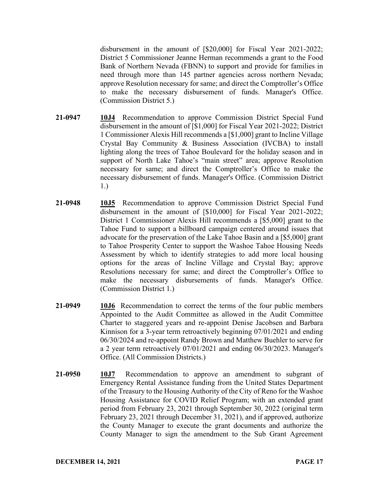disbursement in the amount of [\$20,000] for Fiscal Year 2021-2022; District 5 Commissioner Jeanne Herman recommends a grant to the Food Bank of Northern Nevada (FBNN) to support and provide for families in need through more than 145 partner agencies across northern Nevada; approve Resolution necessary for same; and direct the Comptroller's Office to make the necessary disbursement of funds. Manager's Office. (Commission District 5.)

- **21-0947 10J4** Recommendation to approve Commission District Special Fund disbursement in the amount of [\$1,000] for Fiscal Year 2021-2022; District 1 Commissioner Alexis Hill recommends a [\$1,000] grant to Incline Village Crystal Bay Community & Business Association (IVCBA) to install lighting along the trees of Tahoe Boulevard for the holiday season and in support of North Lake Tahoe's "main street" area; approve Resolution necessary for same; and direct the Comptroller's Office to make the necessary disbursement of funds. Manager's Office. (Commission District 1.)
- 21-0948 **10J5** Recommendation to approve Commission District Special Fund disbursement in the amount of [\$10,000] for Fiscal Year 2021-2022; District 1 Commissioner Alexis Hill recommends a [\$5,000] grant to the Tahoe Fund to support a billboard campaign centered around issues that advocate for the preservation of the Lake Tahoe Basin and a [\$5,000] grant to Tahoe Prosperity Center to support the Washoe Tahoe Housing Needs Assessment by which to identify strategies to add more local housing options for the areas of Incline Village and Crystal Bay; approve Resolutions necessary for same; and direct the Comptroller's Office to make the necessary disbursements of funds. Manager's Office. (Commission District 1.)
- **21-0949 10J6** Recommendation to correct the terms of the four public members Appointed to the Audit Committee as allowed in the Audit Committee Charter to staggered years and re-appoint Denise Jacobsen and Barbara Kinnison for a 3-year term retroactively beginning 07/01/2021 and ending 06/30/2024 and re-appoint Randy Brown and Matthew Buehler to serve for a 2 year term retroactively 07/01/2021 and ending 06/30/2023. Manager's Office. (All Commission Districts.)
- **21-0950 10J7** Recommendation to approve an amendment to subgrant of Emergency Rental Assistance funding from the United States Department of the Treasury to the Housing Authority of the City of Reno for the Washoe Housing Assistance for COVID Relief Program; with an extended grant period from February 23, 2021 through September 30, 2022 (original term February 23, 2021 through December 31, 2021), and if approved, authorize the County Manager to execute the grant documents and authorize the County Manager to sign the amendment to the Sub Grant Agreement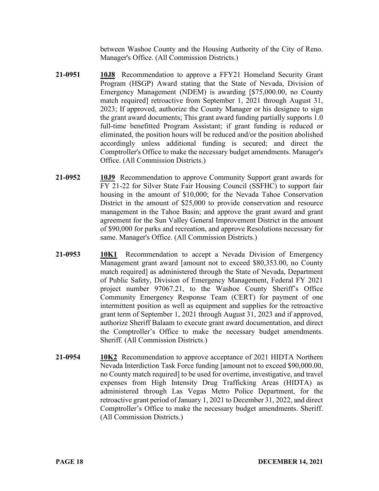between Washoe County and the Housing Authority of the City of Reno. Manager's Office. (All Commission Districts.)

- 21-0951 **10J8** Recommendation to approve a FFY21 Homeland Security Grant Program (HSGP) Award stating that the State of Nevada, Division of Emergency Management (NDEM) is awarding [\$75,000.00, no County match required] retroactive from September 1, 2021 through August 31, 2023; If approved, authorize the County Manager or his designee to sign the grant award documents; This grant award funding partially supports 1.0 full-time benefitted Program Assistant; if grant funding is reduced or eliminated, the position hours will be reduced and/or the position abolished accordingly unless additional funding is secured; and direct the Comptroller's Office to make the necessary budget amendments. Manager's Office. (All Commission Districts.)
- **21-0952 10J9** Recommendation to approve Community Support grant awards for FY 21-22 for Silver State Fair Housing Council (SSFHC) to support fair housing in the amount of \$10,000; for the Nevada Tahoe Conservation District in the amount of \$25,000 to provide conservation and resource management in the Tahoe Basin; and approve the grant award and grant agreement for the Sun Valley General Improvement District in the amount of \$90,000 for parks and recreation, and approve Resolutions necessary for same. Manager's Office. (All Commission Districts.)
- **21-0953 10K1** Recommendation to accept a Nevada Division of Emergency Management grant award [amount not to exceed \$80,353.00, no County match required] as administered through the State of Nevada, Department of Public Safety, Division of Emergency Management, Federal FY 2021 project number 97067.21, to the Washoe County Sheriff's Office Community Emergency Response Team (CERT) for payment of one intermittent position as well as equipment and supplies for the retroactive grant term of September 1, 2021 through August 31, 2023 and if approved, authorize Sheriff Balaam to execute grant award documentation, and direct the Comptroller's Office to make the necessary budget amendments. Sheriff. (All Commission Districts.)
- **21-0954 10K2** Recommendation to approve acceptance of 2021 HIDTA Northern Nevada Interdiction Task Force funding [amount not to exceed \$90,000.00, no County match required] to be used for overtime, investigative, and travel expenses from High Intensity Drug Trafficking Areas (HIDTA) as administered through Las Vegas Metro Police Department, for the retroactive grant period of January 1, 2021 to December 31, 2022, and direct Comptroller's Office to make the necessary budget amendments. Sheriff. (All Commission Districts.)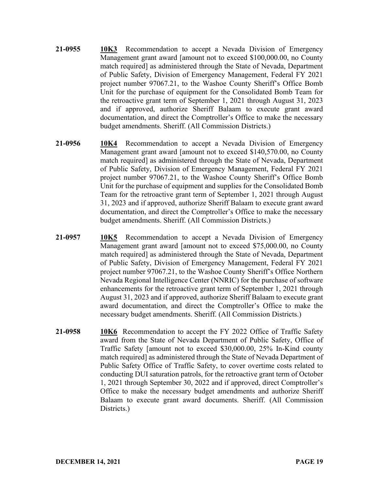- **21-0955 10K3** Recommendation to accept a Nevada Division of Emergency Management grant award [amount not to exceed \$100,000.00, no County match required] as administered through the State of Nevada, Department of Public Safety, Division of Emergency Management, Federal FY 2021 project number 97067.21, to the Washoe County Sheriff's Office Bomb Unit for the purchase of equipment for the Consolidated Bomb Team for the retroactive grant term of September 1, 2021 through August 31, 2023 and if approved, authorize Sheriff Balaam to execute grant award documentation, and direct the Comptroller's Office to make the necessary budget amendments. Sheriff. (All Commission Districts.)
- **21-0956 10K4** Recommendation to accept a Nevada Division of Emergency Management grant award [amount not to exceed \$140,570.00, no County match required] as administered through the State of Nevada, Department of Public Safety, Division of Emergency Management, Federal FY 2021 project number 97067.21, to the Washoe County Sheriff's Office Bomb Unit for the purchase of equipment and supplies for the Consolidated Bomb Team for the retroactive grant term of September 1, 2021 through August 31, 2023 and if approved, authorize Sheriff Balaam to execute grant award documentation, and direct the Comptroller's Office to make the necessary budget amendments. Sheriff. (All Commission Districts.)
- **21-0957 10K5** Recommendation to accept a Nevada Division of Emergency Management grant award [amount not to exceed \$75,000.00, no County match required] as administered through the State of Nevada, Department of Public Safety, Division of Emergency Management, Federal FY 2021 project number 97067.21, to the Washoe County Sheriff's Office Northern Nevada Regional Intelligence Center (NNRIC) for the purchase of software enhancements for the retroactive grant term of September 1, 2021 through August 31, 2023 and if approved, authorize Sheriff Balaam to execute grant award documentation, and direct the Comptroller's Office to make the necessary budget amendments. Sheriff. (All Commission Districts.)
- **21-0958 10K6** Recommendation to accept the FY 2022 Office of Traffic Safety award from the State of Nevada Department of Public Safety, Office of Traffic Safety [amount not to exceed \$30,000.00, 25% In-Kind county match required] as administered through the State of Nevada Department of Public Safety Office of Traffic Safety, to cover overtime costs related to conducting DUI saturation patrols, for the retroactive grant term of October 1, 2021 through September 30, 2022 and if approved, direct Comptroller's Office to make the necessary budget amendments and authorize Sheriff Balaam to execute grant award documents. Sheriff. (All Commission Districts.)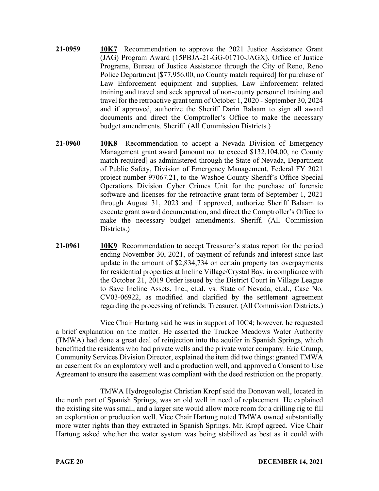- **21-0959 10K7** Recommendation to approve the 2021 Justice Assistance Grant (JAG) Program Award (15PBJA-21-GG-01710-JAGX), Office of Justice Programs, Bureau of Justice Assistance through the City of Reno, Reno Police Department [\$77,956.00, no County match required] for purchase of Law Enforcement equipment and supplies, Law Enforcement related training and travel and seek approval of non-county personnel training and travel for the retroactive grant term of October 1, 2020 - September 30, 2024 and if approved, authorize the Sheriff Darin Balaam to sign all award documents and direct the Comptroller's Office to make the necessary budget amendments. Sheriff. (All Commission Districts.)
- **21-0960 10K8** Recommendation to accept a Nevada Division of Emergency Management grant award [amount not to exceed \$132,104.00, no County match required] as administered through the State of Nevada, Department of Public Safety, Division of Emergency Management, Federal FY 2021 project number 97067.21, to the Washoe County Sheriff's Office Special Operations Division Cyber Crimes Unit for the purchase of forensic software and licenses for the retroactive grant term of September 1, 2021 through August 31, 2023 and if approved, authorize Sheriff Balaam to execute grant award documentation, and direct the Comptroller's Office to make the necessary budget amendments. Sheriff. (All Commission Districts.)
- **21-0961** 10K9 Recommendation to accept Treasurer's status report for the period ending November 30, 2021, of payment of refunds and interest since last update in the amount of \$2,834,734 on certain property tax overpayments for residential properties at Incline Village/Crystal Bay, in compliance with the October 21, 2019 Order issued by the District Court in Village League to Save Incline Assets, Inc., et.al. vs. State of Nevada, et.al., Case No. CV03-06922, as modified and clarified by the settlement agreement regarding the processing of refunds. Treasurer. (All Commission Districts.)

Vice Chair Hartung said he was in support of 10C4; however, he requested a brief explanation on the matter. He asserted the Truckee Meadows Water Authority (TMWA) had done a great deal of reinjection into the aquifer in Spanish Springs, which benefitted the residents who had private wells and the private water company. Eric Crump, Community Services Division Director, explained the item did two things: granted TMWA an easement for an exploratory well and a production well, and approved a Consent to Use Agreement to ensure the easement was compliant with the deed restriction on the property.

TMWA Hydrogeologist Christian Kropf said the Donovan well, located in the north part of Spanish Springs, was an old well in need of replacement. He explained the existing site was small, and a larger site would allow more room for a drilling rig to fill an exploration or production well. Vice Chair Hartung noted TMWA owned substantially more water rights than they extracted in Spanish Springs. Mr. Kropf agreed. Vice Chair Hartung asked whether the water system was being stabilized as best as it could with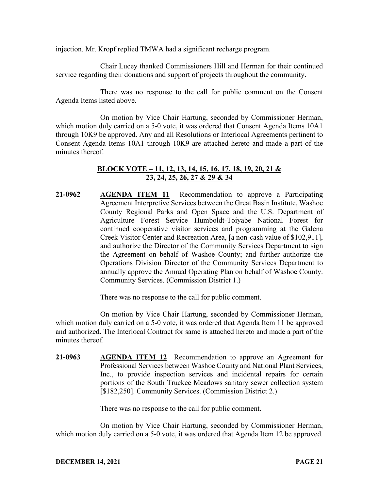injection. Mr. Kropf replied TMWA had a significant recharge program.

Chair Lucey thanked Commissioners Hill and Herman for their continued service regarding their donations and support of projects throughout the community.

There was no response to the call for public comment on the Consent Agenda Items listed above.

On motion by Vice Chair Hartung, seconded by Commissioner Herman, which motion duly carried on a 5-0 vote, it was ordered that Consent Agenda Items 10A1 through 10K9 be approved. Any and all Resolutions or Interlocal Agreements pertinent to Consent Agenda Items 10A1 through 10K9 are attached hereto and made a part of the minutes thereof.

## **BLOCK VOTE – 11, 12, 13, 14, 15, 16, 17, 18, 19, 20, 21 & 23, 24, 25, 26, 27 & 29 & 34**

**21-0962 AGENDA ITEM 11** Recommendation to approve a Participating Agreement Interpretive Services between the Great Basin Institute, Washoe County Regional Parks and Open Space and the U.S. Department of Agriculture Forest Service Humboldt-Toiyabe National Forest for continued cooperative visitor services and programming at the Galena Creek Visitor Center and Recreation Area, [a non-cash value of \$102,911], and authorize the Director of the Community Services Department to sign the Agreement on behalf of Washoe County; and further authorize the Operations Division Director of the Community Services Department to annually approve the Annual Operating Plan on behalf of Washoe County. Community Services. (Commission District 1.)

There was no response to the call for public comment.

On motion by Vice Chair Hartung, seconded by Commissioner Herman, which motion duly carried on a 5-0 vote, it was ordered that Agenda Item 11 be approved and authorized. The Interlocal Contract for same is attached hereto and made a part of the minutes thereof.

**21-0963 AGENDA ITEM 12** Recommendation to approve an Agreement for Professional Services between Washoe County and National Plant Services, Inc., to provide inspection services and incidental repairs for certain portions of the South Truckee Meadows sanitary sewer collection system [\$182,250]. Community Services. (Commission District 2.)

There was no response to the call for public comment.

On motion by Vice Chair Hartung, seconded by Commissioner Herman, which motion duly carried on a 5-0 vote, it was ordered that Agenda Item 12 be approved.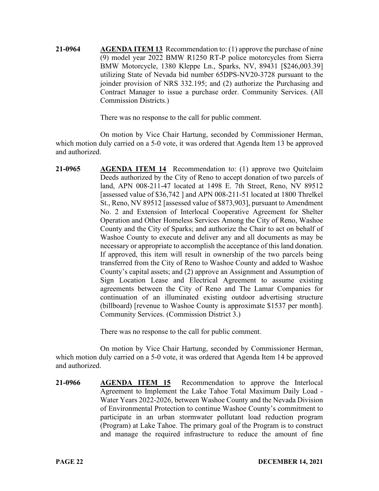**21-0964 AGENDA ITEM 13** Recommendation to: (1) approve the purchase of nine (9) model year 2022 BMW R1250 RT-P police motorcycles from Sierra BMW Motorcycle, 1380 Kleppe Ln., Sparks, NV, 89431 [\$246,003.39] utilizing State of Nevada bid number 65DPS-NV20-3728 pursuant to the joinder provision of NRS 332.195; and (2) authorize the Purchasing and Contract Manager to issue a purchase order. Community Services. (All Commission Districts.)

There was no response to the call for public comment.

On motion by Vice Chair Hartung, seconded by Commissioner Herman, which motion duly carried on a 5-0 vote, it was ordered that Agenda Item 13 be approved and authorized.

**21-0965 AGENDA ITEM 14** Recommendation to: (1) approve two Quitclaim Deeds authorized by the City of Reno to accept donation of two parcels of land, APN 008-211-47 located at 1498 E. 7th Street, Reno, NV 89512 [assessed value of \$36,742 ] and APN 008-211-51 located at 1800 Threlkel St., Reno, NV 89512 [assessed value of \$873,903], pursuant to Amendment No. 2 and Extension of Interlocal Cooperative Agreement for Shelter Operation and Other Homeless Services Among the City of Reno, Washoe County and the City of Sparks; and authorize the Chair to act on behalf of Washoe County to execute and deliver any and all documents as may be necessary or appropriate to accomplish the acceptance of this land donation. If approved, this item will result in ownership of the two parcels being transferred from the City of Reno to Washoe County and added to Washoe County's capital assets; and (2) approve an Assignment and Assumption of Sign Location Lease and Electrical Agreement to assume existing agreements between the City of Reno and The Lamar Companies for continuation of an illuminated existing outdoor advertising structure (billboard) [revenue to Washoe County is approximate \$1537 per month]. Community Services. (Commission District 3.)

There was no response to the call for public comment.

On motion by Vice Chair Hartung, seconded by Commissioner Herman, which motion duly carried on a 5-0 vote, it was ordered that Agenda Item 14 be approved and authorized.

**21-0966 AGENDA ITEM 15** Recommendation to approve the Interlocal Agreement to Implement the Lake Tahoe Total Maximum Daily Load - Water Years 2022-2026, between Washoe County and the Nevada Division of Environmental Protection to continue Washoe County's commitment to participate in an urban stormwater pollutant load reduction program (Program) at Lake Tahoe. The primary goal of the Program is to construct and manage the required infrastructure to reduce the amount of fine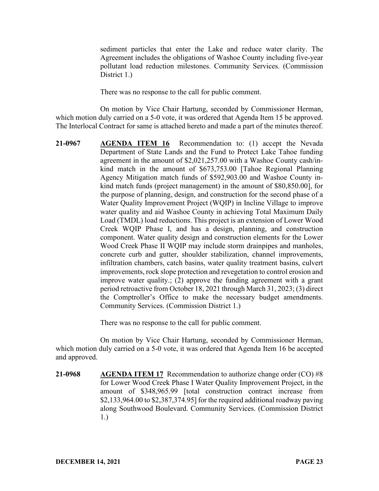sediment particles that enter the Lake and reduce water clarity. The Agreement includes the obligations of Washoe County including five-year pollutant load reduction milestones. Community Services. (Commission District 1.)

There was no response to the call for public comment.

On motion by Vice Chair Hartung, seconded by Commissioner Herman, which motion duly carried on a 5-0 vote, it was ordered that Agenda Item 15 be approved. The Interlocal Contract for same is attached hereto and made a part of the minutes thereof.

**21-0967 AGENDA ITEM 16** Recommendation to: (1) accept the Nevada Department of State Lands and the Fund to Protect Lake Tahoe funding agreement in the amount of \$2,021,257.00 with a Washoe County cash/inkind match in the amount of \$673,753.00 [Tahoe Regional Planning Agency Mitigation match funds of \$592,903.00 and Washoe County inkind match funds (project management) in the amount of \$80,850.00], for the purpose of planning, design, and construction for the second phase of a Water Quality Improvement Project (WQIP) in Incline Village to improve water quality and aid Washoe County in achieving Total Maximum Daily Load (TMDL) load reductions. This project is an extension of Lower Wood Creek WQIP Phase I, and has a design, planning, and construction component. Water quality design and construction elements for the Lower Wood Creek Phase II WQIP may include storm drainpipes and manholes, concrete curb and gutter, shoulder stabilization, channel improvements, infiltration chambers, catch basins, water quality treatment basins, culvert improvements, rock slope protection and revegetation to control erosion and improve water quality.; (2) approve the funding agreement with a grant period retroactive from October 18, 2021 through March 31, 2023; (3) direct the Comptroller's Office to make the necessary budget amendments. Community Services. (Commission District 1.)

There was no response to the call for public comment.

On motion by Vice Chair Hartung, seconded by Commissioner Herman, which motion duly carried on a 5-0 vote, it was ordered that Agenda Item 16 be accepted and approved.

**21-0968 AGENDA ITEM 17** Recommendation to authorize change order (CO) #8 for Lower Wood Creek Phase I Water Quality Improvement Project, in the amount of \$348,965.99 [total construction contract increase from \$2,133,964.00 to \$2,387,374.95] for the required additional roadway paving along Southwood Boulevard. Community Services. (Commission District 1.)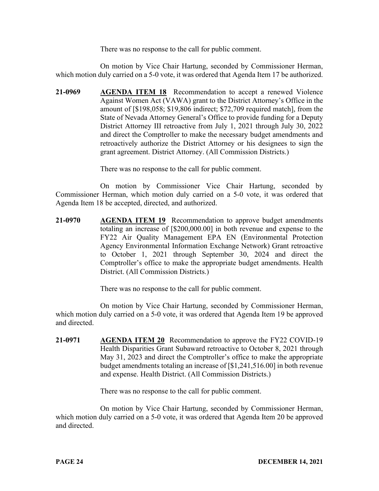There was no response to the call for public comment.

On motion by Vice Chair Hartung, seconded by Commissioner Herman, which motion duly carried on a 5-0 vote, it was ordered that Agenda Item 17 be authorized.

**21-0969 AGENDA ITEM 18** Recommendation to accept a renewed Violence Against Women Act (VAWA) grant to the District Attorney's Office in the amount of [\$198,058; \$19,806 indirect; \$72,709 required match], from the State of Nevada Attorney General's Office to provide funding for a Deputy District Attorney III retroactive from July 1, 2021 through July 30, 2022 and direct the Comptroller to make the necessary budget amendments and retroactively authorize the District Attorney or his designees to sign the grant agreement. District Attorney. (All Commission Districts.)

There was no response to the call for public comment.

On motion by Commissioner Vice Chair Hartung, seconded by Commissioner Herman, which motion duly carried on a 5-0 vote, it was ordered that Agenda Item 18 be accepted, directed, and authorized.

**21-0970 AGENDA ITEM 19** Recommendation to approve budget amendments totaling an increase of [\$200,000.00] in both revenue and expense to the FY22 Air Quality Management EPA EN (Environmental Protection Agency Environmental Information Exchange Network) Grant retroactive to October 1, 2021 through September 30, 2024 and direct the Comptroller's office to make the appropriate budget amendments. Health District. (All Commission Districts.)

There was no response to the call for public comment.

On motion by Vice Chair Hartung, seconded by Commissioner Herman, which motion duly carried on a 5-0 vote, it was ordered that Agenda Item 19 be approved and directed.

**21-0971 AGENDA ITEM 20** Recommendation to approve the FY22 COVID-19 Health Disparities Grant Subaward retroactive to October 8, 2021 through May 31, 2023 and direct the Comptroller's office to make the appropriate budget amendments totaling an increase of [\$1,241,516.00] in both revenue and expense. Health District. (All Commission Districts.)

There was no response to the call for public comment.

On motion by Vice Chair Hartung, seconded by Commissioner Herman, which motion duly carried on a 5-0 vote, it was ordered that Agenda Item 20 be approved and directed.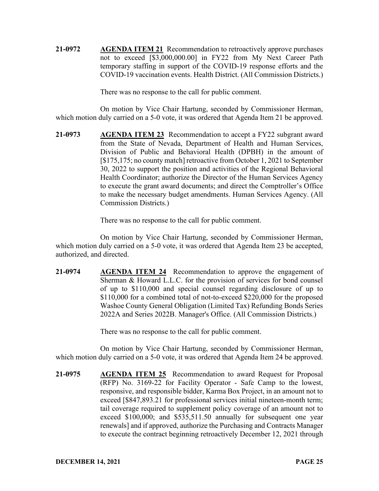**21-0972 AGENDA ITEM 21** Recommendation to retroactively approve purchases not to exceed [\$3,000,000.00] in FY22 from My Next Career Path temporary staffing in support of the COVID-19 response efforts and the COVID-19 vaccination events. Health District. (All Commission Districts.)

There was no response to the call for public comment.

On motion by Vice Chair Hartung, seconded by Commissioner Herman, which motion duly carried on a 5-0 vote, it was ordered that Agenda Item 21 be approved.

**21-0973 AGENDA ITEM 23** Recommendation to accept a FY22 subgrant award from the State of Nevada, Department of Health and Human Services, Division of Public and Behavioral Health (DPBH) in the amount of [\$175,175; no county match] retroactive from October 1, 2021 to September 30, 2022 to support the position and activities of the Regional Behavioral Health Coordinator; authorize the Director of the Human Services Agency to execute the grant award documents; and direct the Comptroller's Office to make the necessary budget amendments. Human Services Agency. (All Commission Districts.)

There was no response to the call for public comment.

On motion by Vice Chair Hartung, seconded by Commissioner Herman, which motion duly carried on a 5-0 vote, it was ordered that Agenda Item 23 be accepted, authorized, and directed.

**21-0974 AGENDA ITEM 24** Recommendation to approve the engagement of Sherman & Howard L.L.C. for the provision of services for bond counsel of up to \$110,000 and special counsel regarding disclosure of up to \$110,000 for a combined total of not-to-exceed \$220,000 for the proposed Washoe County General Obligation (Limited Tax) Refunding Bonds Series 2022A and Series 2022B. Manager's Office. (All Commission Districts.)

There was no response to the call for public comment.

On motion by Vice Chair Hartung, seconded by Commissioner Herman, which motion duly carried on a 5-0 vote, it was ordered that Agenda Item 24 be approved.

**21-0975 AGENDA ITEM 25** Recommendation to award Request for Proposal (RFP) No. 3169-22 for Facility Operator - Safe Camp to the lowest, responsive, and responsible bidder, Karma Box Project, in an amount not to exceed [\$847,893.21 for professional services initial nineteen-month term; tail coverage required to supplement policy coverage of an amount not to exceed \$100,000; and \$535,511.50 annually for subsequent one year renewals] and if approved, authorize the Purchasing and Contracts Manager to execute the contract beginning retroactively December 12, 2021 through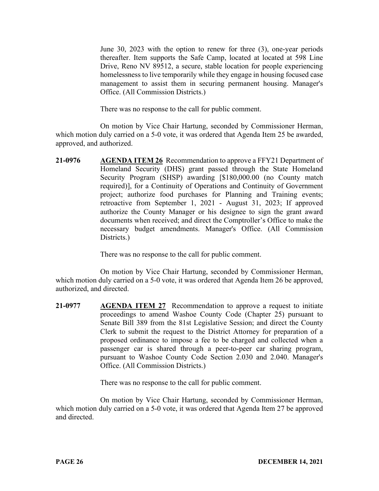June 30, 2023 with the option to renew for three (3), one-year periods thereafter. Item supports the Safe Camp, located at located at 598 Line Drive, Reno NV 89512, a secure, stable location for people experiencing homelessness to live temporarily while they engage in housing focused case management to assist them in securing permanent housing. Manager's Office. (All Commission Districts.)

There was no response to the call for public comment.

On motion by Vice Chair Hartung, seconded by Commissioner Herman, which motion duly carried on a 5-0 vote, it was ordered that Agenda Item 25 be awarded, approved, and authorized.

**21-0976 AGENDA ITEM 26** Recommendation to approve a FFY21 Department of Homeland Security (DHS) grant passed through the State Homeland Security Program (SHSP) awarding [\$180,000.00 (no County match required)], for a Continuity of Operations and Continuity of Government project; authorize food purchases for Planning and Training events; retroactive from September 1, 2021 - August 31, 2023; If approved authorize the County Manager or his designee to sign the grant award documents when received; and direct the Comptroller's Office to make the necessary budget amendments. Manager's Office. (All Commission Districts.)

There was no response to the call for public comment.

On motion by Vice Chair Hartung, seconded by Commissioner Herman, which motion duly carried on a 5-0 vote, it was ordered that Agenda Item 26 be approved, authorized, and directed.

**21-0977 AGENDA ITEM 27** Recommendation to approve a request to initiate proceedings to amend Washoe County Code (Chapter 25) pursuant to Senate Bill 389 from the 81st Legislative Session; and direct the County Clerk to submit the request to the District Attorney for preparation of a proposed ordinance to impose a fee to be charged and collected when a passenger car is shared through a peer-to-peer car sharing program, pursuant to Washoe County Code Section 2.030 and 2.040. Manager's Office. (All Commission Districts.)

There was no response to the call for public comment.

On motion by Vice Chair Hartung, seconded by Commissioner Herman, which motion duly carried on a 5-0 vote, it was ordered that Agenda Item 27 be approved and directed.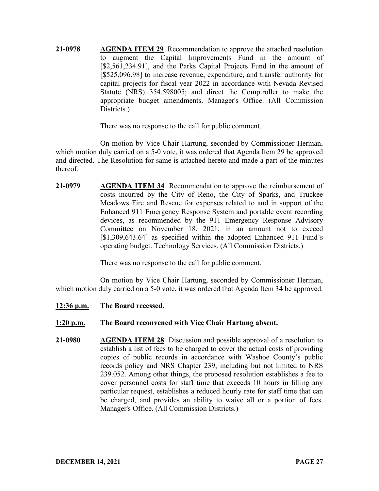**21-0978 AGENDA ITEM 29** Recommendation to approve the attached resolution to augment the Capital Improvements Fund in the amount of [\$2,561,234.91], and the Parks Capital Projects Fund in the amount of [\$525,096.98] to increase revenue, expenditure, and transfer authority for capital projects for fiscal year 2022 in accordance with Nevada Revised Statute (NRS) 354.598005; and direct the Comptroller to make the appropriate budget amendments. Manager's Office. (All Commission Districts.)

There was no response to the call for public comment.

On motion by Vice Chair Hartung, seconded by Commissioner Herman, which motion duly carried on a 5-0 vote, it was ordered that Agenda Item 29 be approved and directed. The Resolution for same is attached hereto and made a part of the minutes thereof.

**21-0979 AGENDA ITEM 34** Recommendation to approve the reimbursement of costs incurred by the City of Reno, the City of Sparks, and Truckee Meadows Fire and Rescue for expenses related to and in support of the Enhanced 911 Emergency Response System and portable event recording devices, as recommended by the 911 Emergency Response Advisory Committee on November 18, 2021, in an amount not to exceed [\$1,309,643.64] as specified within the adopted Enhanced 911 Fund's operating budget. Technology Services. (All Commission Districts.)

There was no response to the call for public comment.

On motion by Vice Chair Hartung, seconded by Commissioner Herman, which motion duly carried on a 5-0 vote, it was ordered that Agenda Item 34 be approved.

- **12:36 p.m. The Board recessed.**
- **1:20 p.m. The Board reconvened with Vice Chair Hartung absent.**
- **21-0980 AGENDA ITEM 28** Discussion and possible approval of a resolution to establish a list of fees to be charged to cover the actual costs of providing copies of public records in accordance with Washoe County's public records policy and NRS Chapter 239, including but not limited to NRS 239.052. Among other things, the proposed resolution establishes a fee to cover personnel costs for staff time that exceeds 10 hours in filling any particular request, establishes a reduced hourly rate for staff time that can be charged, and provides an ability to waive all or a portion of fees. Manager's Office. (All Commission Districts.)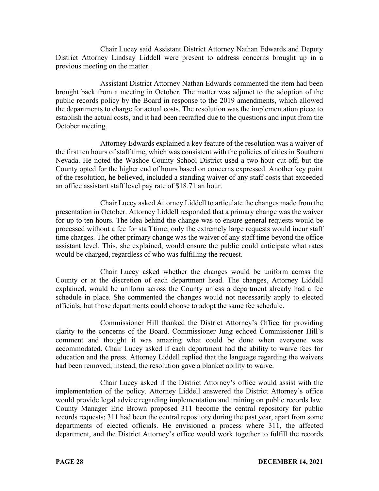Chair Lucey said Assistant District Attorney Nathan Edwards and Deputy District Attorney Lindsay Liddell were present to address concerns brought up in a previous meeting on the matter.

Assistant District Attorney Nathan Edwards commented the item had been brought back from a meeting in October. The matter was adjunct to the adoption of the public records policy by the Board in response to the 2019 amendments, which allowed the departments to charge for actual costs. The resolution was the implementation piece to establish the actual costs, and it had been recrafted due to the questions and input from the October meeting.

Attorney Edwards explained a key feature of the resolution was a waiver of the first ten hours of staff time, which was consistent with the policies of cities in Southern Nevada. He noted the Washoe County School District used a two-hour cut-off, but the County opted for the higher end of hours based on concerns expressed. Another key point of the resolution, he believed, included a standing waiver of any staff costs that exceeded an office assistant staff level pay rate of \$18.71 an hour.

Chair Lucey asked Attorney Liddell to articulate the changes made from the presentation in October. Attorney Liddell responded that a primary change was the waiver for up to ten hours. The idea behind the change was to ensure general requests would be processed without a fee for staff time; only the extremely large requests would incur staff time charges. The other primary change was the waiver of any staff time beyond the office assistant level. This, she explained, would ensure the public could anticipate what rates would be charged, regardless of who was fulfilling the request.

Chair Lucey asked whether the changes would be uniform across the County or at the discretion of each department head. The changes, Attorney Liddell explained, would be uniform across the County unless a department already had a fee schedule in place. She commented the changes would not necessarily apply to elected officials, but those departments could choose to adopt the same fee schedule.

Commissioner Hill thanked the District Attorney's Office for providing clarity to the concerns of the Board. Commissioner Jung echoed Commissioner Hill's comment and thought it was amazing what could be done when everyone was accommodated. Chair Lucey asked if each department had the ability to waive fees for education and the press. Attorney Liddell replied that the language regarding the waivers had been removed; instead, the resolution gave a blanket ability to waive.

Chair Lucey asked if the District Attorney's office would assist with the implementation of the policy. Attorney Liddell answered the District Attorney's office would provide legal advice regarding implementation and training on public records law. County Manager Eric Brown proposed 311 become the central repository for public records requests; 311 had been the central repository during the past year, apart from some departments of elected officials. He envisioned a process where 311, the affected department, and the District Attorney's office would work together to fulfill the records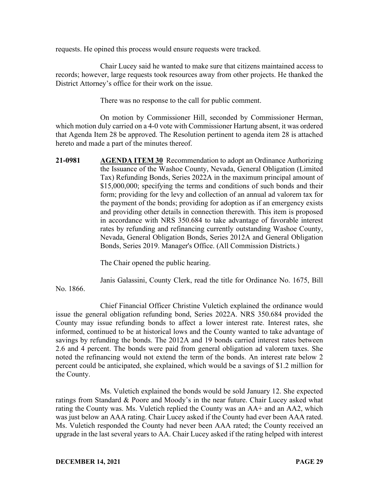requests. He opined this process would ensure requests were tracked.

Chair Lucey said he wanted to make sure that citizens maintained access to records; however, large requests took resources away from other projects. He thanked the District Attorney's office for their work on the issue.

There was no response to the call for public comment.

On motion by Commissioner Hill, seconded by Commissioner Herman, which motion duly carried on a 4-0 vote with Commissioner Hartung absent, it was ordered that Agenda Item 28 be approved. The Resolution pertinent to agenda item 28 is attached hereto and made a part of the minutes thereof.

**21-0981 AGENDA ITEM 30** Recommendation to adopt an Ordinance Authorizing the Issuance of the Washoe County, Nevada, General Obligation (Limited Tax) Refunding Bonds, Series 2022A in the maximum principal amount of \$15,000,000; specifying the terms and conditions of such bonds and their form; providing for the levy and collection of an annual ad valorem tax for the payment of the bonds; providing for adoption as if an emergency exists and providing other details in connection therewith. This item is proposed in accordance with NRS 350.684 to take advantage of favorable interest rates by refunding and refinancing currently outstanding Washoe County, Nevada, General Obligation Bonds, Series 2012A and General Obligation Bonds, Series 2019. Manager's Office. (All Commission Districts.)

The Chair opened the public hearing.

Janis Galassini, County Clerk, read the title for Ordinance No. 1675, Bill

No. 1866.

Chief Financial Officer Christine Vuletich explained the ordinance would issue the general obligation refunding bond, Series 2022A. NRS 350.684 provided the County may issue refunding bonds to affect a lower interest rate. Interest rates, she informed, continued to be at historical lows and the County wanted to take advantage of savings by refunding the bonds. The 2012A and 19 bonds carried interest rates between 2.6 and 4 percent. The bonds were paid from general obligation ad valorem taxes. She noted the refinancing would not extend the term of the bonds. An interest rate below 2 percent could be anticipated, she explained, which would be a savings of \$1.2 million for the County.

Ms. Vuletich explained the bonds would be sold January 12. She expected ratings from Standard & Poore and Moody's in the near future. Chair Lucey asked what rating the County was. Ms. Vuletich replied the County was an AA+ and an AA2, which was just below an AAA rating. Chair Lucey asked if the County had ever been AAA rated. Ms. Vuletich responded the County had never been AAA rated; the County received an upgrade in the last several years to AA. Chair Lucey asked if the rating helped with interest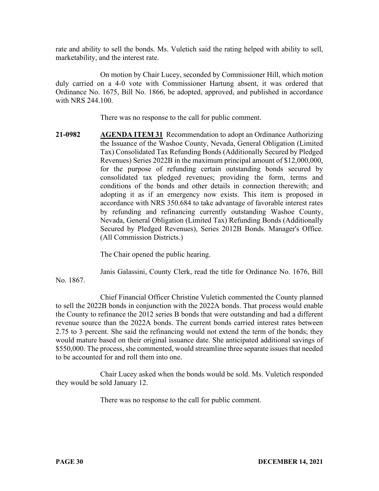rate and ability to sell the bonds. Ms. Vuletich said the rating helped with ability to sell, marketability, and the interest rate.

On motion by Chair Lucey, seconded by Commissioner Hill, which motion duly carried on a 4-0 vote with Commissioner Hartung absent, it was ordered that Ordinance No. 1675, Bill No. 1866, be adopted, approved, and published in accordance with NRS 244.100.

There was no response to the call for public comment.

**21-0982 AGENDA ITEM 31** Recommendation to adopt an Ordinance Authorizing the Issuance of the Washoe County, Nevada, General Obligation (Limited Tax) Consolidated Tax Refunding Bonds (Additionally Secured by Pledged Revenues) Series 2022B in the maximum principal amount of \$12,000,000, for the purpose of refunding certain outstanding bonds secured by consolidated tax pledged revenues; providing the form, terms and conditions of the bonds and other details in connection therewith; and adopting it as if an emergency now exists. This item is proposed in accordance with NRS 350.684 to take advantage of favorable interest rates by refunding and refinancing currently outstanding Washoe County, Nevada, General Obligation (Limited Tax) Refunding Bonds (Additionally Secured by Pledged Revenues), Series 2012B Bonds. Manager's Office. (All Commission Districts.)

The Chair opened the public hearing.

Janis Galassini, County Clerk, read the title for Ordinance No. 1676, Bill

No. 1867.

Chief Financial Officer Christine Vuletich commented the County planned to sell the 2022B bonds in conjunction with the 2022A bonds. That process would enable the County to refinance the 2012 series B bonds that were outstanding and had a different revenue source than the 2022A bonds. The current bonds carried interest rates between 2.75 to 3 percent. She said the refinancing would not extend the term of the bonds; they would mature based on their original issuance date. She anticipated additional savings of \$550,000. The process, she commented, would streamline three separate issues that needed to be accounted for and roll them into one.

Chair Lucey asked when the bonds would be sold. Ms. Vuletich responded they would be sold January 12.

There was no response to the call for public comment.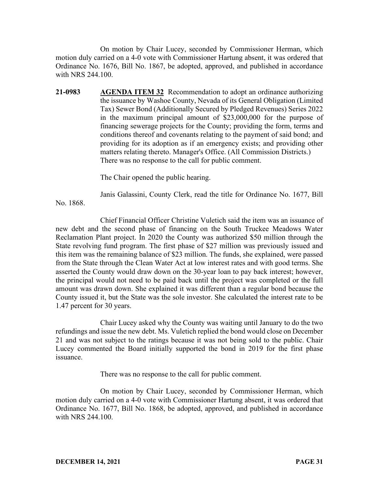On motion by Chair Lucey, seconded by Commissioner Herman, which motion duly carried on a 4-0 vote with Commissioner Hartung absent, it was ordered that Ordinance No. 1676, Bill No. 1867, be adopted, approved, and published in accordance with NRS 244.100.

**21-0983 AGENDA ITEM 32** Recommendation to adopt an ordinance authorizing the issuance by Washoe County, Nevada of its General Obligation (Limited Tax) Sewer Bond (Additionally Secured by Pledged Revenues) Series 2022 in the maximum principal amount of \$23,000,000 for the purpose of financing sewerage projects for the County; providing the form, terms and conditions thereof and covenants relating to the payment of said bond; and providing for its adoption as if an emergency exists; and providing other matters relating thereto. Manager's Office. (All Commission Districts.) There was no response to the call for public comment.

The Chair opened the public hearing.

Janis Galassini, County Clerk, read the title for Ordinance No. 1677, Bill

No. 1868.

Chief Financial Officer Christine Vuletich said the item was an issuance of new debt and the second phase of financing on the South Truckee Meadows Water Reclamation Plant project. In 2020 the County was authorized \$50 million through the State revolving fund program. The first phase of \$27 million was previously issued and this item was the remaining balance of \$23 million. The funds, she explained, were passed from the State through the Clean Water Act at low interest rates and with good terms. She asserted the County would draw down on the 30-year loan to pay back interest; however, the principal would not need to be paid back until the project was completed or the full amount was drawn down. She explained it was different than a regular bond because the County issued it, but the State was the sole investor. She calculated the interest rate to be 1.47 percent for 30 years.

Chair Lucey asked why the County was waiting until January to do the two refundings and issue the new debt. Ms. Vuletich replied the bond would close on December 21 and was not subject to the ratings because it was not being sold to the public. Chair Lucey commented the Board initially supported the bond in 2019 for the first phase issuance.

There was no response to the call for public comment.

On motion by Chair Lucey, seconded by Commissioner Herman, which motion duly carried on a 4-0 vote with Commissioner Hartung absent, it was ordered that Ordinance No. 1677, Bill No. 1868, be adopted, approved, and published in accordance with NRS 244.100.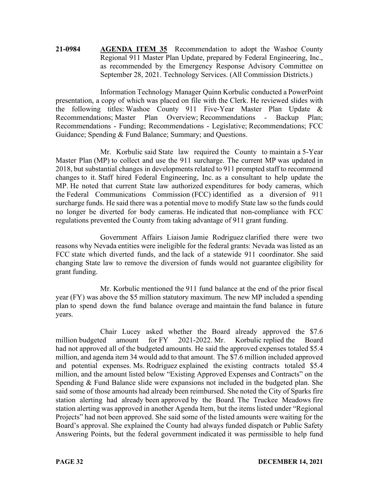**21-0984 AGENDA ITEM 35** Recommendation to adopt the Washoe County Regional 911 Master Plan Update, prepared by Federal Engineering, Inc., as recommended by the Emergency Response Advisory Committee on September 28, 2021. Technology Services. (All Commission Districts.)

Information Technology Manager Quinn Korbulic conducted a PowerPoint presentation, a copy of which was placed on file with the Clerk. He reviewed slides with the following titles: Washoe County 911 Five-Year Master Plan Update & Recommendations; Master Plan Overview; Recommendations - Backup Plan; Recommendations - Funding; Recommendations - Legislative; Recommendations; FCC Guidance; Spending & Fund Balance; Summary; and Questions.

Mr. Korbulic said State law required the County to maintain a 5-Year Master Plan (MP) to collect and use the 911 surcharge. The current MP was updated in 2018, but substantial changes in developments related to 911 prompted staff to recommend changes to it. Staff hired Federal Engineering, Inc. as a consultant to help update the MP. He noted that current State law authorized expenditures for body cameras, which the Federal Communications Commission (FCC) identified as a diversion of 911 surcharge funds. He said there was a potential move to modify State law so the funds could no longer be diverted for body cameras. He indicated that non-compliance with FCC regulations prevented the County from taking advantage of 911 grant funding.

Government Affairs Liaison Jamie Rodriguez clarified there were two reasons why Nevada entities were ineligible for the federal grants: Nevada was listed as an FCC state which diverted funds, and the lack of a statewide 911 coordinator. She said changing State law to remove the diversion of funds would not guarantee eligibility for grant funding.

Mr. Korbulic mentioned the 911 fund balance at the end of the prior fiscal year (FY) was above the \$5 million statutory maximum. The new MP included a spending plan to spend down the fund balance overage and maintain the fund balance in future years.

Chair Lucey asked whether the Board already approved the \$7.6 million budgeted amount for FY 2021-2022. Mr. Korbulic replied the Board had not approved all of the budgeted amounts. He said the approved expenses totaled \$5.4 million, and agenda item 34 would add to that amount. The \$7.6 million included approved and potential expenses. Ms. Rodriguez explained the existing contracts totaled \$5.4 million, and the amount listed below "Existing Approved Expenses and Contracts" on the Spending & Fund Balance slide were expansions not included in the budgeted plan. She said some of those amounts had already been reimbursed. She noted the City of Sparks fire station alerting had already been approved by the Board. The Truckee Meadows fire station alerting was approved in another Agenda Item, but the items listed under "Regional Projects" had not been approved. She said some of the listed amounts were waiting for the Board's approval. She explained the County had always funded dispatch or Public Safety Answering Points, but the federal government indicated it was permissible to help fund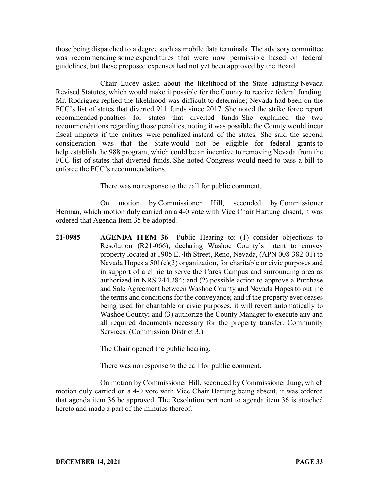those being dispatched to a degree such as mobile data terminals. The advisory committee was recommending some expenditures that were now permissible based on federal guidelines, but those proposed expenses had not yet been approved by the Board.

Chair Lucey asked about the likelihood of the State adjusting Nevada Revised Statutes, which would make it possible for the County to receive federal funding. Mr. Rodriguez replied the likelihood was difficult to determine; Nevada had been on the FCC's list of states that diverted 911 funds since 2017. She noted the strike force report recommended penalties for states that diverted funds. She explained the two recommendations regarding those penalties, noting it was possible the County would incur fiscal impacts if the entities were penalized instead of the states. She said the second consideration was that the State would not be eligible for federal grants to help establish the 988 program, which could be an incentive to removing Nevada from the FCC list of states that diverted funds. She noted Congress would need to pass a bill to enforce the FCC's recommendations.

There was no response to the call for public comment.

On motion by Commissioner Hill, seconded by Commissioner Herman, which motion duly carried on a 4-0 vote with Vice Chair Hartung absent, it was ordered that Agenda Item 35 be adopted.

**21-0985 AGENDA ITEM 36** Public Hearing to: (1) consider objections to Resolution (R21-066), declaring Washoe County's intent to convey property located at 1905 E. 4th Street, Reno, Nevada, (APN 008-382-01) to Nevada Hopes a 501(c)(3) organization, for charitable or civic purposes and in support of a clinic to serve the Cares Campus and surrounding area as authorized in NRS 244.284; and (2) possible action to approve a Purchase and Sale Agreement between Washoe County and Nevada Hopes to outline the terms and conditions for the conveyance; and if the property ever ceases being used for charitable or civic purposes, it will revert automatically to Washoe County; and (3) authorize the County Manager to execute any and all required documents necessary for the property transfer. Community Services. (Commission District 3.)

The Chair opened the public hearing.

There was no response to the call for public comment.

On motion by Commissioner Hill, seconded by Commissioner Jung, which motion duly carried on a 4-0 vote with Vice Chair Hartung being absent, it was ordered that agenda item 36 be approved. The Resolution pertinent to agenda item 36 is attached hereto and made a part of the minutes thereof.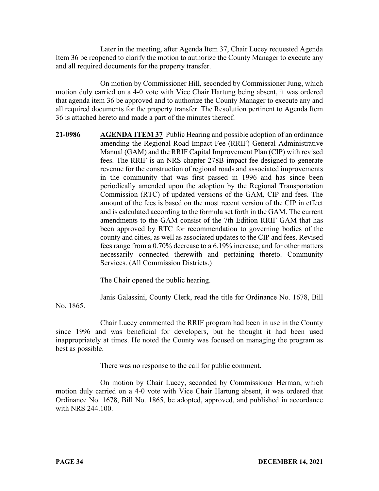Later in the meeting, after Agenda Item 37, Chair Lucey requested Agenda Item 36 be reopened to clarify the motion to authorize the County Manager to execute any and all required documents for the property transfer.

On motion by Commissioner Hill, seconded by Commissioner Jung, which motion duly carried on a 4-0 vote with Vice Chair Hartung being absent, it was ordered that agenda item 36 be approved and to authorize the County Manager to execute any and all required documents for the property transfer. The Resolution pertinent to Agenda Item 36 is attached hereto and made a part of the minutes thereof.

**21-0986 AGENDA ITEM 37** Public Hearing and possible adoption of an ordinance amending the Regional Road Impact Fee (RRIF) General Administrative Manual (GAM) and the RRIF Capital Improvement Plan (CIP) with revised fees. The RRIF is an NRS chapter 278B impact fee designed to generate revenue for the construction of regional roads and associated improvements in the community that was first passed in 1996 and has since been periodically amended upon the adoption by the Regional Transportation Commission (RTC) of updated versions of the GAM, CIP and fees. The amount of the fees is based on the most recent version of the CIP in effect and is calculated according to the formula set forth in the GAM. The current amendments to the GAM consist of the 7th Edition RRIF GAM that has been approved by RTC for recommendation to governing bodies of the county and cities, as well as associated updates to the CIP and fees. Revised fees range from a 0.70% decrease to a 6.19% increase; and for other matters necessarily connected therewith and pertaining thereto. Community Services. (All Commission Districts.)

The Chair opened the public hearing.

Janis Galassini, County Clerk, read the title for Ordinance No. 1678, Bill

No. 1865.

Chair Lucey commented the RRIF program had been in use in the County since 1996 and was beneficial for developers, but he thought it had been used inappropriately at times. He noted the County was focused on managing the program as best as possible.

There was no response to the call for public comment.

On motion by Chair Lucey, seconded by Commissioner Herman, which motion duly carried on a 4-0 vote with Vice Chair Hartung absent, it was ordered that Ordinance No. 1678, Bill No. 1865, be adopted, approved, and published in accordance with NRS 244.100.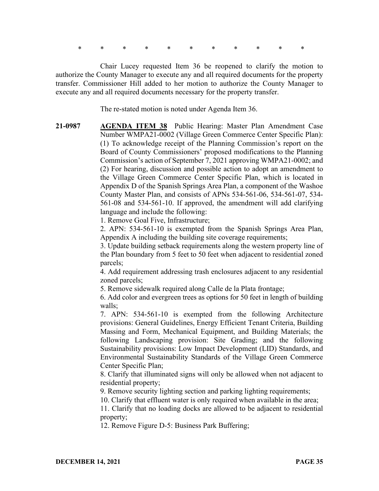\* \* \* \* \* \* \* \* \* \* \*

Chair Lucey requested Item 36 be reopened to clarify the motion to authorize the County Manager to execute any and all required documents for the property transfer. Commissioner Hill added to her motion to authorize the County Manager to execute any and all required documents necessary for the property transfer.

The re-stated motion is noted under Agenda Item 36.

**21-0987 AGENDA ITEM 38** Public Hearing: Master Plan Amendment Case Number WMPA21-0002 (Village Green Commerce Center Specific Plan): (1) To acknowledge receipt of the Planning Commission's report on the Board of County Commissioners' proposed modifications to the Planning Commission's action of September 7, 2021 approving WMPA21-0002; and (2) For hearing, discussion and possible action to adopt an amendment to the Village Green Commerce Center Specific Plan, which is located in Appendix D of the Spanish Springs Area Plan, a component of the Washoe County Master Plan, and consists of APNs 534-561-06, 534-561-07, 534- 561-08 and 534-561-10. If approved, the amendment will add clarifying language and include the following:

1. Remove Goal Five, Infrastructure;

2. APN: 534-561-10 is exempted from the Spanish Springs Area Plan, Appendix A including the building site coverage requirements;

3. Update building setback requirements along the western property line of the Plan boundary from 5 feet to 50 feet when adjacent to residential zoned parcels;

4. Add requirement addressing trash enclosures adjacent to any residential zoned parcels;

5. Remove sidewalk required along Calle de la Plata frontage;

6. Add color and evergreen trees as options for 50 feet in length of building walls;

7. APN: 534-561-10 is exempted from the following Architecture provisions: General Guidelines, Energy Efficient Tenant Criteria, Building Massing and Form, Mechanical Equipment, and Building Materials; the following Landscaping provision: Site Grading; and the following Sustainability provisions: Low Impact Development (LID) Standards, and Environmental Sustainability Standards of the Village Green Commerce Center Specific Plan;

8. Clarify that illuminated signs will only be allowed when not adjacent to residential property;

9. Remove security lighting section and parking lighting requirements;

10. Clarify that effluent water is only required when available in the area;

11. Clarify that no loading docks are allowed to be adjacent to residential property;

12. Remove Figure D-5: Business Park Buffering;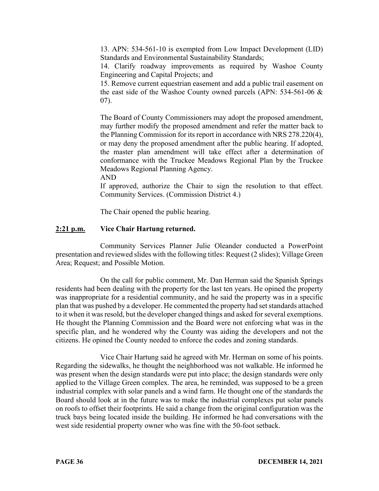13. APN: 534-561-10 is exempted from Low Impact Development (LID) Standards and Environmental Sustainability Standards;

14. Clarify roadway improvements as required by Washoe County Engineering and Capital Projects; and

15. Remove current equestrian easement and add a public trail easement on the east side of the Washoe County owned parcels (APN: 534-561-06 & 07).

The Board of County Commissioners may adopt the proposed amendment, may further modify the proposed amendment and refer the matter back to the Planning Commission for its report in accordance with NRS 278.220(4), or may deny the proposed amendment after the public hearing. If adopted, the master plan amendment will take effect after a determination of conformance with the Truckee Meadows Regional Plan by the Truckee Meadows Regional Planning Agency.

AND

If approved, authorize the Chair to sign the resolution to that effect. Community Services. (Commission District 4.)

The Chair opened the public hearing.

## **2:21 p.m. Vice Chair Hartung returned.**

Community Services Planner Julie Oleander conducted a PowerPoint presentation and reviewed slides with the following titles: Request (2 slides); Village Green Area; Request; and Possible Motion.

On the call for public comment, Mr. Dan Herman said the Spanish Springs residents had been dealing with the property for the last ten years. He opined the property was inappropriate for a residential community, and he said the property was in a specific plan that was pushed by a developer. He commented the property had set standards attached to it when it was resold, but the developer changed things and asked for several exemptions. He thought the Planning Commission and the Board were not enforcing what was in the specific plan, and he wondered why the County was aiding the developers and not the citizens. He opined the County needed to enforce the codes and zoning standards.

Vice Chair Hartung said he agreed with Mr. Herman on some of his points. Regarding the sidewalks, he thought the neighborhood was not walkable. He informed he was present when the design standards were put into place; the design standards were only applied to the Village Green complex. The area, he reminded, was supposed to be a green industrial complex with solar panels and a wind farm. He thought one of the standards the Board should look at in the future was to make the industrial complexes put solar panels on roofs to offset their footprints. He said a change from the original configuration was the truck bays being located inside the building. He informed he had conversations with the west side residential property owner who was fine with the 50-foot setback.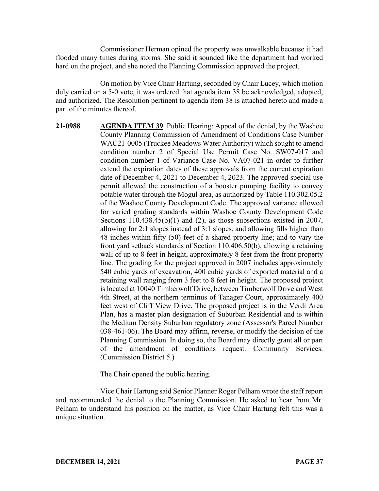Commissioner Herman opined the property was unwalkable because it had flooded many times during storms. She said it sounded like the department had worked hard on the project, and she noted the Planning Commission approved the project.

On motion by Vice Chair Hartung, seconded by Chair Lucey, which motion duly carried on a 5-0 vote, it was ordered that agenda item 38 be acknowledged, adopted, and authorized. The Resolution pertinent to agenda item 38 is attached hereto and made a part of the minutes thereof.

**21-0988 AGENDA ITEM 39** Public Hearing: Appeal of the denial, by the Washoe County Planning Commission of Amendment of Conditions Case Number WAC21-0005 (Truckee Meadows Water Authority) which sought to amend condition number 2 of Special Use Permit Case No. SW07-017 and condition number 1 of Variance Case No. VA07-021 in order to further extend the expiration dates of these approvals from the current expiration date of December 4, 2021 to December 4, 2023. The approved special use permit allowed the construction of a booster pumping facility to convey potable water through the Mogul area, as authorized by Table 110.302.05.2 of the Washoe County Development Code. The approved variance allowed for varied grading standards within Washoe County Development Code Sections 110.438.45(b)(1) and (2), as those subsections existed in 2007, allowing for 2:1 slopes instead of 3:1 slopes, and allowing fills higher than 48 inches within fifty (50) feet of a shared property line; and to vary the front yard setback standards of Section 110.406.50(b), allowing a retaining wall of up to 8 feet in height, approximately 8 feet from the front property line. The grading for the project approved in 2007 includes approximately 540 cubic yards of excavation, 400 cubic yards of exported material and a retaining wall ranging from 3 feet to 8 feet in height. The proposed project is located at 10040 Timberwolf Drive, between Timberwolf Drive and West 4th Street, at the northern terminus of Tanager Court, approximately 400 feet west of Cliff View Drive. The proposed project is in the Verdi Area Plan, has a master plan designation of Suburban Residential and is within the Medium Density Suburban regulatory zone (Assessor's Parcel Number 038-461-06). The Board may affirm, reverse, or modify the decision of the Planning Commission. In doing so, the Board may directly grant all or part of the amendment of conditions request. Community Services. (Commission District 5.)

The Chair opened the public hearing.

Vice Chair Hartung said Senior Planner Roger Pelham wrote the staff report and recommended the denial to the Planning Commission. He asked to hear from Mr. Pelham to understand his position on the matter, as Vice Chair Hartung felt this was a unique situation.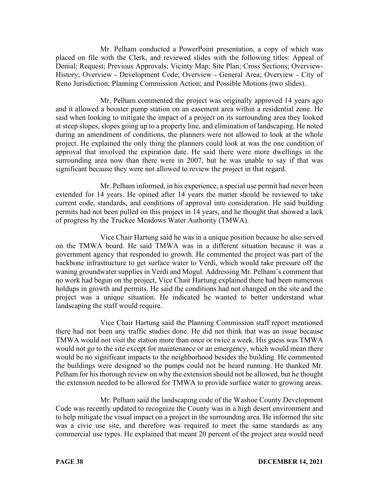Mr. Pelham conducted a PowerPoint presentation, a copy of which was placed on file with the Clerk, and reviewed slides with the following titles: Appeal of Denial; Request; Previous Approvals; Vicinty Map; Site Plan; Cross Sections; Overview-History; Overview - Development Code; Overview - General Area; Overview - City of Reno Jurisdiction; Planning Commission Action; and Possible Motions (two slides).

Mr. Pelham commented the project was originally approved 14 years ago and it allowed a booster pump station on an easement area within a residential zone. He said when looking to mitigate the impact of a project on its surrounding area they looked at steep slopes, slopes going up to a property line, and elimination of landscaping. He noted during an amendment of conditions, the planners were not allowed to look at the whole project. He explained the only thing the planners could look at was the one condition of approval that involved the expiration date. He said there were more dwellings in the surrounding area now than there were in 2007, but he was unable to say if that was significant because they were not allowed to review the project in that regard.

Mr. Pelham informed, in his experience, a special use permit had never been extended for 14 years. He opined after 14 years the matter should be reviewed to take current code, standards, and conditions of approval into consideration. He said building permits had not been pulled on this project in 14 years, and he thought that showed a lack of progress by the Truckee Meadows Water Authority (TMWA).

Vice Chair Hartung said he was in a unique position because he also served on the TMWA board. He said TMWA was in a different situation because it was a government agency that responded to growth. He commented the project was part of the backbone infrastructure to get surface water to Verdi, which would take pressure off the waning groundwater supplies in Verdi and Mogul. Addressing Mr. Pelham's comment that no work had begun on the project, Vice Chair Hartung explained there had been numerous holdups in growth and permits. He said the conditions had not changed on the site and the project was a unique situation. He indicated he wanted to better understand what landscaping the staff would require.

Vice Chair Hartung said the Planning Commission staff report mentioned there had not been any traffic studies done. He did not think that was an issue because TMWA would not visit the station more than once or twice a week. His guess was TMWA would not go to the site except for maintenance or an emergency, which would mean there would be no significant impacts to the neighborhood besides the building. He commented the buildings were designed so the pumps could not be heard running. He thanked Mr. Pelham for his thorough review on why the extension should not be allowed, but he thought the extension needed to be allowed for TMWA to provide surface water to growing areas.

Mr. Pelham said the landscaping code of the Washoe County Development Code was recently updated to recognize the County was in a high desert environment and to help mitigate the visual impact on a project in the surrounding area. He informed the site was a civic use site, and therefore was required to meet the same standards as any commercial use types. He explained that meant 20 percent of the project area would need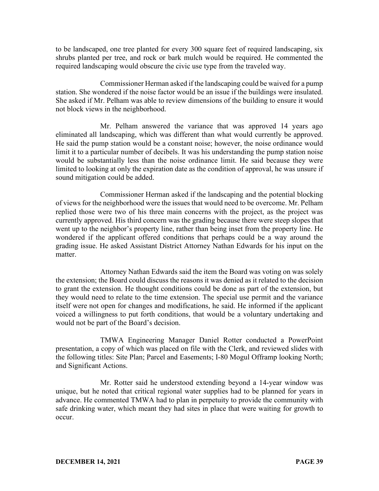to be landscaped, one tree planted for every 300 square feet of required landscaping, six shrubs planted per tree, and rock or bark mulch would be required. He commented the required landscaping would obscure the civic use type from the traveled way.

Commissioner Herman asked if the landscaping could be waived for a pump station. She wondered if the noise factor would be an issue if the buildings were insulated. She asked if Mr. Pelham was able to review dimensions of the building to ensure it would not block views in the neighborhood.

Mr. Pelham answered the variance that was approved 14 years ago eliminated all landscaping, which was different than what would currently be approved. He said the pump station would be a constant noise; however, the noise ordinance would limit it to a particular number of decibels. It was his understanding the pump station noise would be substantially less than the noise ordinance limit. He said because they were limited to looking at only the expiration date as the condition of approval, he was unsure if sound mitigation could be added.

Commissioner Herman asked if the landscaping and the potential blocking of views for the neighborhood were the issues that would need to be overcome. Mr. Pelham replied those were two of his three main concerns with the project, as the project was currently approved. His third concern was the grading because there were steep slopes that went up to the neighbor's property line, rather than being inset from the property line. He wondered if the applicant offered conditions that perhaps could be a way around the grading issue. He asked Assistant District Attorney Nathan Edwards for his input on the matter.

Attorney Nathan Edwards said the item the Board was voting on was solely the extension; the Board could discuss the reasons it was denied as it related to the decision to grant the extension. He thought conditions could be done as part of the extension, but they would need to relate to the time extension. The special use permit and the variance itself were not open for changes and modifications, he said. He informed if the applicant voiced a willingness to put forth conditions, that would be a voluntary undertaking and would not be part of the Board's decision.

TMWA Engineering Manager Daniel Rotter conducted a PowerPoint presentation, a copy of which was placed on file with the Clerk, and reviewed slides with the following titles: Site Plan; Parcel and Easements; I-80 Mogul Offramp looking North; and Significant Actions.

Mr. Rotter said he understood extending beyond a 14-year window was unique, but he noted that critical regional water supplies had to be planned for years in advance. He commented TMWA had to plan in perpetuity to provide the community with safe drinking water, which meant they had sites in place that were waiting for growth to occur.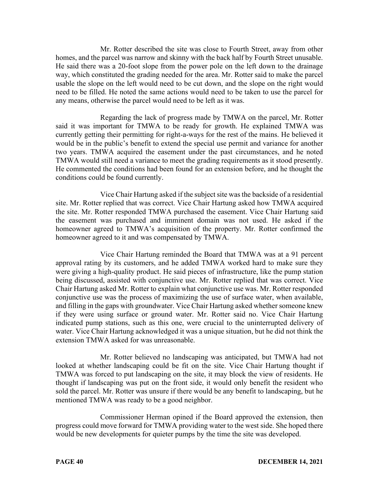Mr. Rotter described the site was close to Fourth Street, away from other homes, and the parcel was narrow and skinny with the back half by Fourth Street unusable. He said there was a 20-foot slope from the power pole on the left down to the drainage way, which constituted the grading needed for the area. Mr. Rotter said to make the parcel usable the slope on the left would need to be cut down, and the slope on the right would need to be filled. He noted the same actions would need to be taken to use the parcel for any means, otherwise the parcel would need to be left as it was.

Regarding the lack of progress made by TMWA on the parcel, Mr. Rotter said it was important for TMWA to be ready for growth. He explained TMWA was currently getting their permitting for right-a-ways for the rest of the mains. He believed it would be in the public's benefit to extend the special use permit and variance for another two years. TMWA acquired the easement under the past circumstances, and he noted TMWA would still need a variance to meet the grading requirements as it stood presently. He commented the conditions had been found for an extension before, and he thought the conditions could be found currently.

Vice Chair Hartung asked if the subject site was the backside of a residential site. Mr. Rotter replied that was correct. Vice Chair Hartung asked how TMWA acquired the site. Mr. Rotter responded TMWA purchased the easement. Vice Chair Hartung said the easement was purchased and imminent domain was not used. He asked if the homeowner agreed to TMWA's acquisition of the property. Mr. Rotter confirmed the homeowner agreed to it and was compensated by TMWA.

Vice Chair Hartung reminded the Board that TMWA was at a 91 percent approval rating by its customers, and he added TMWA worked hard to make sure they were giving a high-quality product. He said pieces of infrastructure, like the pump station being discussed, assisted with conjunctive use. Mr. Rotter replied that was correct. Vice Chair Hartung asked Mr. Rotter to explain what conjunctive use was. Mr. Rotter responded conjunctive use was the process of maximizing the use of surface water, when available, and filling in the gaps with groundwater. Vice Chair Hartung asked whether someone knew if they were using surface or ground water. Mr. Rotter said no. Vice Chair Hartung indicated pump stations, such as this one, were crucial to the uninterrupted delivery of water. Vice Chair Hartung acknowledged it was a unique situation, but he did not think the extension TMWA asked for was unreasonable.

Mr. Rotter believed no landscaping was anticipated, but TMWA had not looked at whether landscaping could be fit on the site. Vice Chair Hartung thought if TMWA was forced to put landscaping on the site, it may block the view of residents. He thought if landscaping was put on the front side, it would only benefit the resident who sold the parcel. Mr. Rotter was unsure if there would be any benefit to landscaping, but he mentioned TMWA was ready to be a good neighbor.

Commissioner Herman opined if the Board approved the extension, then progress could move forward for TMWA providing water to the west side. She hoped there would be new developments for quieter pumps by the time the site was developed.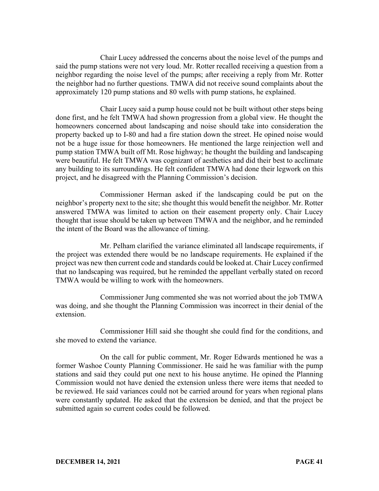Chair Lucey addressed the concerns about the noise level of the pumps and said the pump stations were not very loud. Mr. Rotter recalled receiving a question from a neighbor regarding the noise level of the pumps; after receiving a reply from Mr. Rotter the neighbor had no further questions. TMWA did not receive sound complaints about the approximately 120 pump stations and 80 wells with pump stations, he explained.

Chair Lucey said a pump house could not be built without other steps being done first, and he felt TMWA had shown progression from a global view. He thought the homeowners concerned about landscaping and noise should take into consideration the property backed up to I-80 and had a fire station down the street. He opined noise would not be a huge issue for those homeowners. He mentioned the large reinjection well and pump station TMWA built off Mt. Rose highway; he thought the building and landscaping were beautiful. He felt TMWA was cognizant of aesthetics and did their best to acclimate any building to its surroundings. He felt confident TMWA had done their legwork on this project, and he disagreed with the Planning Commission's decision.

Commissioner Herman asked if the landscaping could be put on the neighbor's property next to the site; she thought this would benefit the neighbor. Mr. Rotter answered TMWA was limited to action on their easement property only. Chair Lucey thought that issue should be taken up between TMWA and the neighbor, and he reminded the intent of the Board was the allowance of timing.

Mr. Pelham clarified the variance eliminated all landscape requirements, if the project was extended there would be no landscape requirements. He explained if the project was new then current code and standards could be looked at. Chair Lucey confirmed that no landscaping was required, but he reminded the appellant verbally stated on record TMWA would be willing to work with the homeowners.

Commissioner Jung commented she was not worried about the job TMWA was doing, and she thought the Planning Commission was incorrect in their denial of the extension.

Commissioner Hill said she thought she could find for the conditions, and she moved to extend the variance.

On the call for public comment, Mr. Roger Edwards mentioned he was a former Washoe County Planning Commissioner. He said he was familiar with the pump stations and said they could put one next to his house anytime. He opined the Planning Commission would not have denied the extension unless there were items that needed to be reviewed. He said variances could not be carried around for years when regional plans were constantly updated. He asked that the extension be denied, and that the project be submitted again so current codes could be followed.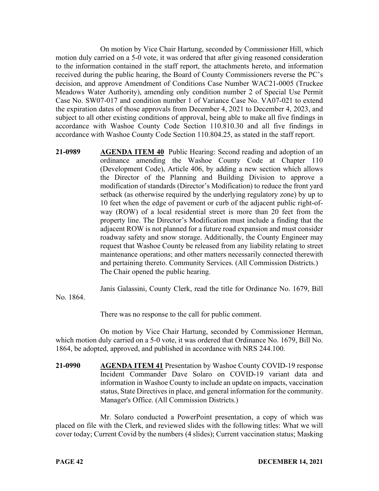On motion by Vice Chair Hartung, seconded by Commissioner Hill, which motion duly carried on a 5-0 vote, it was ordered that after giving reasoned consideration to the information contained in the staff report, the attachments hereto, and information received during the public hearing, the Board of County Commissioners reverse the PC's decision, and approve Amendment of Conditions Case Number WAC21-0005 (Truckee Meadows Water Authority), amending only condition number 2 of Special Use Permit Case No. SW07-017 and condition number 1 of Variance Case No. VA07-021 to extend the expiration dates of those approvals from December 4, 2021 to December 4, 2023, and subject to all other existing conditions of approval, being able to make all five findings in accordance with Washoe County Code Section 110.810.30 and all five findings in accordance with Washoe County Code Section 110.804.25, as stated in the staff report.

**21-0989 AGENDA ITEM 40** Public Hearing: Second reading and adoption of an ordinance amending the Washoe County Code at Chapter 110 (Development Code), Article 406, by adding a new section which allows the Director of the Planning and Building Division to approve a modification of standards (Director's Modification) to reduce the front yard setback (as otherwise required by the underlying regulatory zone) by up to 10 feet when the edge of pavement or curb of the adjacent public right-ofway (ROW) of a local residential street is more than 20 feet from the property line. The Director's Modification must include a finding that the adjacent ROW is not planned for a future road expansion and must consider roadway safety and snow storage. Additionally, the County Engineer may request that Washoe County be released from any liability relating to street maintenance operations; and other matters necessarily connected therewith and pertaining thereto. Community Services. (All Commission Districts.) The Chair opened the public hearing.

Janis Galassini, County Clerk, read the title for Ordinance No. 1679, Bill

No. 1864.

There was no response to the call for public comment.

On motion by Vice Chair Hartung, seconded by Commissioner Herman, which motion duly carried on a 5-0 vote, it was ordered that Ordinance No. 1679, Bill No. 1864, be adopted, approved, and published in accordance with NRS 244.100.

**21-0990 AGENDA ITEM 41** Presentation by Washoe County COVID-19 response Incident Commander Dave Solaro on COVID-19 variant data and information in Washoe County to include an update on impacts, vaccination status, State Directives in place, and general information for the community. Manager's Office. (All Commission Districts.)

Mr. Solaro conducted a PowerPoint presentation, a copy of which was placed on file with the Clerk, and reviewed slides with the following titles: What we will cover today; Current Covid by the numbers (4 slides); Current vaccination status; Masking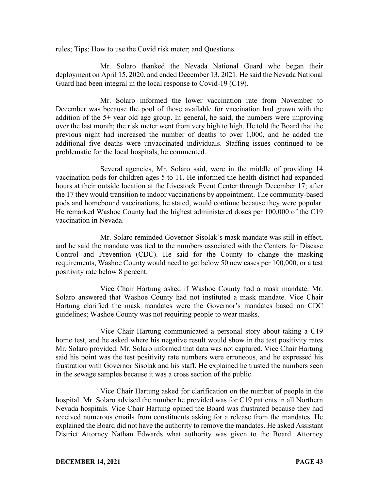rules; Tips; How to use the Covid risk meter; and Questions.

Mr. Solaro thanked the Nevada National Guard who began their deployment on April 15, 2020, and ended December 13, 2021. He said the Nevada National Guard had been integral in the local response to Covid-19 (C19).

Mr. Solaro informed the lower vaccination rate from November to December was because the pool of those available for vaccination had grown with the addition of the 5+ year old age group. In general, he said, the numbers were improving over the last month; the risk meter went from very high to high. He told the Board that the previous night had increased the number of deaths to over 1,000, and he added the additional five deaths were unvaccinated individuals. Staffing issues continued to be problematic for the local hospitals, he commented.

Several agencies, Mr. Solaro said, were in the middle of providing 14 vaccination pods for children ages 5 to 11. He informed the health district had expanded hours at their outside location at the Livestock Event Center through December 17; after the 17 they would transition to indoor vaccinations by appointment. The community-based pods and homebound vaccinations, he stated, would continue because they were popular. He remarked Washoe County had the highest administered doses per 100,000 of the C19 vaccination in Nevada.

Mr. Solaro reminded Governor Sisolak's mask mandate was still in effect, and he said the mandate was tied to the numbers associated with the Centers for Disease Control and Prevention (CDC). He said for the County to change the masking requirements, Washoe County would need to get below 50 new cases per 100,000, or a test positivity rate below 8 percent.

Vice Chair Hartung asked if Washoe County had a mask mandate. Mr. Solaro answered that Washoe County had not instituted a mask mandate. Vice Chair Hartung clarified the mask mandates were the Governor's mandates based on CDC guidelines; Washoe County was not requiring people to wear masks.

Vice Chair Hartung communicated a personal story about taking a C19 home test, and he asked where his negative result would show in the test positivity rates Mr. Solaro provided. Mr. Solaro informed that data was not captured. Vice Chair Hartung said his point was the test positivity rate numbers were erroneous, and he expressed his frustration with Governor Sisolak and his staff. He explained he trusted the numbers seen in the sewage samples because it was a cross section of the public.

Vice Chair Hartung asked for clarification on the number of people in the hospital. Mr. Solaro advised the number he provided was for C19 patients in all Northern Nevada hospitals. Vice Chair Hartung opined the Board was frustrated because they had received numerous emails from constituents asking for a release from the mandates. He explained the Board did not have the authority to remove the mandates. He asked Assistant District Attorney Nathan Edwards what authority was given to the Board. Attorney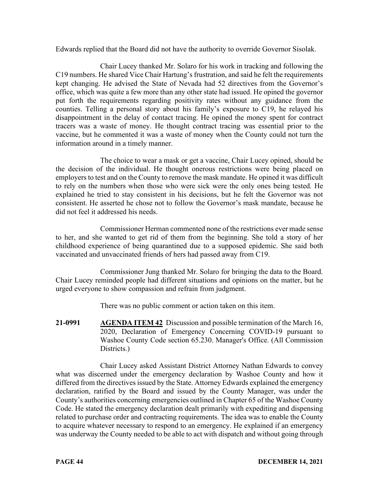Edwards replied that the Board did not have the authority to override Governor Sisolak.

Chair Lucey thanked Mr. Solaro for his work in tracking and following the C19 numbers. He shared Vice Chair Hartung's frustration, and said he felt the requirements kept changing. He advised the State of Nevada had 52 directives from the Governor's office, which was quite a few more than any other state had issued. He opined the governor put forth the requirements regarding positivity rates without any guidance from the counties. Telling a personal story about his family's exposure to C19, he relayed his disappointment in the delay of contact tracing. He opined the money spent for contract tracers was a waste of money. He thought contract tracing was essential prior to the vaccine, but he commented it was a waste of money when the County could not turn the information around in a timely manner.

The choice to wear a mask or get a vaccine, Chair Lucey opined, should be the decision of the individual. He thought onerous restrictions were being placed on employers to test and on the County to remove the mask mandate. He opined it was difficult to rely on the numbers when those who were sick were the only ones being tested. He explained he tried to stay consistent in his decisions, but he felt the Governor was not consistent. He asserted he chose not to follow the Governor's mask mandate, because he did not feel it addressed his needs.

Commissioner Herman commented none of the restrictions ever made sense to her, and she wanted to get rid of them from the beginning. She told a story of her childhood experience of being quarantined due to a supposed epidemic. She said both vaccinated and unvaccinated friends of hers had passed away from C19.

Commissioner Jung thanked Mr. Solaro for bringing the data to the Board. Chair Lucey reminded people had different situations and opinions on the matter, but he urged everyone to show compassion and refrain from judgment.

There was no public comment or action taken on this item.

**21-0991 AGENDA ITEM 42** Discussion and possible termination of the March 16, 2020, Declaration of Emergency Concerning COVID-19 pursuant to Washoe County Code section 65.230. Manager's Office. (All Commission Districts.)

Chair Lucey asked Assistant District Attorney Nathan Edwards to convey what was discerned under the emergency declaration by Washoe County and how it differed from the directives issued by the State. Attorney Edwards explained the emergency declaration, ratified by the Board and issued by the County Manager, was under the County's authorities concerning emergencies outlined in Chapter 65 of the Washoe County Code. He stated the emergency declaration dealt primarily with expediting and dispensing related to purchase order and contracting requirements. The idea was to enable the County to acquire whatever necessary to respond to an emergency. He explained if an emergency was underway the County needed to be able to act with dispatch and without going through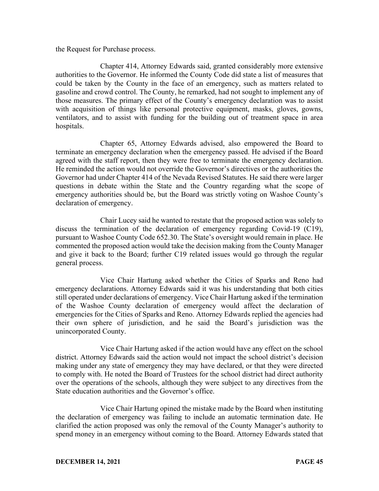the Request for Purchase process.

Chapter 414, Attorney Edwards said, granted considerably more extensive authorities to the Governor. He informed the County Code did state a list of measures that could be taken by the County in the face of an emergency, such as matters related to gasoline and crowd control. The County, he remarked, had not sought to implement any of those measures. The primary effect of the County's emergency declaration was to assist with acquisition of things like personal protective equipment, masks, gloves, gowns, ventilators, and to assist with funding for the building out of treatment space in area hospitals.

Chapter 65, Attorney Edwards advised, also empowered the Board to terminate an emergency declaration when the emergency passed. He advised if the Board agreed with the staff report, then they were free to terminate the emergency declaration. He reminded the action would not override the Governor's directives or the authorities the Governor had under Chapter 414 of the Nevada Revised Statutes. He said there were larger questions in debate within the State and the Country regarding what the scope of emergency authorities should be, but the Board was strictly voting on Washoe County's declaration of emergency.

Chair Lucey said he wanted to restate that the proposed action was solely to discuss the termination of the declaration of emergency regarding Covid-19 (C19), pursuant to Washoe County Code 652.30. The State's oversight would remain in place. He commented the proposed action would take the decision making from the County Manager and give it back to the Board; further C19 related issues would go through the regular general process.

Vice Chair Hartung asked whether the Cities of Sparks and Reno had emergency declarations. Attorney Edwards said it was his understanding that both cities still operated under declarations of emergency. Vice Chair Hartung asked if the termination of the Washoe County declaration of emergency would affect the declaration of emergencies for the Cities of Sparks and Reno. Attorney Edwards replied the agencies had their own sphere of jurisdiction, and he said the Board's jurisdiction was the unincorporated County.

Vice Chair Hartung asked if the action would have any effect on the school district. Attorney Edwards said the action would not impact the school district's decision making under any state of emergency they may have declared, or that they were directed to comply with. He noted the Board of Trustees for the school district had direct authority over the operations of the schools, although they were subject to any directives from the State education authorities and the Governor's office.

Vice Chair Hartung opined the mistake made by the Board when instituting the declaration of emergency was failing to include an automatic termination date. He clarified the action proposed was only the removal of the County Manager's authority to spend money in an emergency without coming to the Board. Attorney Edwards stated that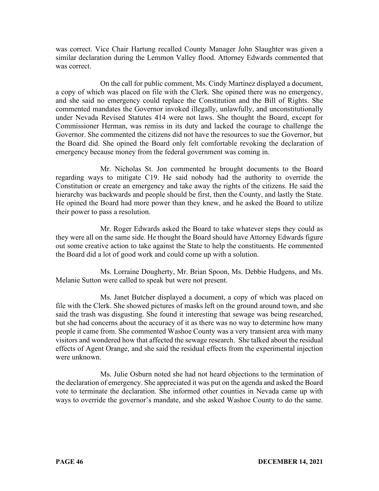was correct. Vice Chair Hartung recalled County Manager John Slaughter was given a similar declaration during the Lemmon Valley flood. Attorney Edwards commented that was correct.

On the call for public comment, Ms. Cindy Martinez displayed a document, a copy of which was placed on file with the Clerk. She opined there was no emergency, and she said no emergency could replace the Constitution and the Bill of Rights. She commented mandates the Governor invoked illegally, unlawfully, and unconstitutionally under Nevada Revised Statutes 414 were not laws. She thought the Board, except for Commissioner Herman, was remiss in its duty and lacked the courage to challenge the Governor. She commented the citizens did not have the resources to sue the Governor, but the Board did. She opined the Board only felt comfortable revoking the declaration of emergency because money from the federal government was coming in.

Mr. Nicholas St. Jon commented he brought documents to the Board regarding ways to mitigate C19. He said nobody had the authority to override the Constitution or create an emergency and take away the rights of the citizens. He said the hierarchy was backwards and people should be first, then the County, and lastly the State. He opined the Board had more power than they knew, and he asked the Board to utilize their power to pass a resolution.

Mr. Roger Edwards asked the Board to take whatever steps they could as they were all on the same side. He thought the Board should have Attorney Edwards figure out some creative action to take against the State to help the constituents. He commented the Board did a lot of good work and could come up with a solution.

Ms. Lorraine Dougherty, Mr. Brian Spoon, Ms. Debbie Hudgens, and Ms. Melanie Sutton were called to speak but were not present.

Ms. Janet Butcher displayed a document, a copy of which was placed on file with the Clerk. She showed pictures of masks left on the ground around town, and she said the trash was disgusting. She found it interesting that sewage was being researched, but she had concerns about the accuracy of it as there was no way to determine how many people it came from. She commented Washoe County was a very transient area with many visitors and wondered how that affected the sewage research. She talked about the residual effects of Agent Orange, and she said the residual effects from the experimental injection were unknown.

Ms. Julie Osburn noted she had not heard objections to the termination of the declaration of emergency. She appreciated it was put on the agenda and asked the Board vote to terminate the declaration. She informed other counties in Nevada came up with ways to override the governor's mandate, and she asked Washoe County to do the same.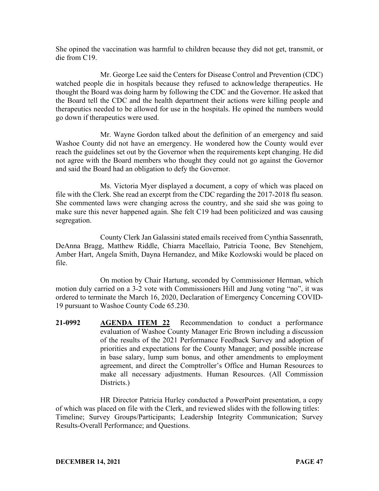She opined the vaccination was harmful to children because they did not get, transmit, or die from C19.

Mr. George Lee said the Centers for Disease Control and Prevention (CDC) watched people die in hospitals because they refused to acknowledge therapeutics. He thought the Board was doing harm by following the CDC and the Governor. He asked that the Board tell the CDC and the health department their actions were killing people and therapeutics needed to be allowed for use in the hospitals. He opined the numbers would go down if therapeutics were used.

Mr. Wayne Gordon talked about the definition of an emergency and said Washoe County did not have an emergency. He wondered how the County would ever reach the guidelines set out by the Governor when the requirements kept changing. He did not agree with the Board members who thought they could not go against the Governor and said the Board had an obligation to defy the Governor.

Ms. Victoria Myer displayed a document, a copy of which was placed on file with the Clerk. She read an excerpt from the CDC regarding the 2017-2018 flu season. She commented laws were changing across the country, and she said she was going to make sure this never happened again. She felt C19 had been politicized and was causing segregation.

County Clerk Jan Galassini stated emails received from Cynthia Sassenrath, DeAnna Bragg, Matthew Riddle, Chiarra Macellaio, Patricia Toone, Bev Stenehjem, Amber Hart, Angela Smith, Dayna Hernandez, and Mike Kozlowski would be placed on file.

On motion by Chair Hartung, seconded by Commissioner Herman, which motion duly carried on a 3-2 vote with Commissioners Hill and Jung voting "no", it was ordered to terminate the March 16, 2020, Declaration of Emergency Concerning COVID-19 pursuant to Washoe County Code 65.230.

**21-0992 AGENDA ITEM 22** Recommendation to conduct a performance evaluation of Washoe County Manager Eric Brown including a discussion of the results of the 2021 Performance Feedback Survey and adoption of priorities and expectations for the County Manager; and possible increase in base salary, lump sum bonus, and other amendments to employment agreement, and direct the Comptroller's Office and Human Resources to make all necessary adjustments. Human Resources. (All Commission Districts.)

HR Director Patricia Hurley conducted a PowerPoint presentation, a copy of which was placed on file with the Clerk, and reviewed slides with the following titles: Timeline; Survey Groups/Participants; Leadership Integrity Communication; Survey Results-Overall Performance; and Questions.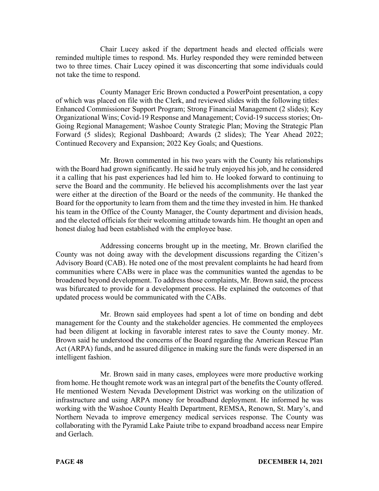Chair Lucey asked if the department heads and elected officials were reminded multiple times to respond. Ms. Hurley responded they were reminded between two to three times. Chair Lucey opined it was disconcerting that some individuals could not take the time to respond.

County Manager Eric Brown conducted a PowerPoint presentation, a copy of which was placed on file with the Clerk, and reviewed slides with the following titles: Enhanced Commissioner Support Program; Strong Financial Management (2 slides); Key Organizational Wins; Covid-19 Response and Management; Covid-19 success stories; On-Going Regional Management; Washoe County Strategic Plan; Moving the Strategic Plan Forward (5 slides); Regional Dashboard; Awards (2 slides); The Year Ahead 2022; Continued Recovery and Expansion; 2022 Key Goals; and Questions.

Mr. Brown commented in his two years with the County his relationships with the Board had grown significantly. He said he truly enjoyed his job, and he considered it a calling that his past experiences had led him to. He looked forward to continuing to serve the Board and the community. He believed his accomplishments over the last year were either at the direction of the Board or the needs of the community. He thanked the Board for the opportunity to learn from them and the time they invested in him. He thanked his team in the Office of the County Manager, the County department and division heads, and the elected officials for their welcoming attitude towards him. He thought an open and honest dialog had been established with the employee base.

Addressing concerns brought up in the meeting, Mr. Brown clarified the County was not doing away with the development discussions regarding the Citizen's Advisory Board (CAB). He noted one of the most prevalent complaints he had heard from communities where CABs were in place was the communities wanted the agendas to be broadened beyond development. To address those complaints, Mr. Brown said, the process was bifurcated to provide for a development process. He explained the outcomes of that updated process would be communicated with the CABs.

Mr. Brown said employees had spent a lot of time on bonding and debt management for the County and the stakeholder agencies. He commented the employees had been diligent at locking in favorable interest rates to save the County money. Mr. Brown said he understood the concerns of the Board regarding the American Rescue Plan Act (ARPA) funds, and he assured diligence in making sure the funds were dispersed in an intelligent fashion.

Mr. Brown said in many cases, employees were more productive working from home. He thought remote work was an integral part of the benefits the County offered. He mentioned Western Nevada Development District was working on the utilization of infrastructure and using ARPA money for broadband deployment. He informed he was working with the Washoe County Health Department, REMSA, Renown, St. Mary's, and Northern Nevada to improve emergency medical services response. The County was collaborating with the Pyramid Lake Paiute tribe to expand broadband access near Empire and Gerlach.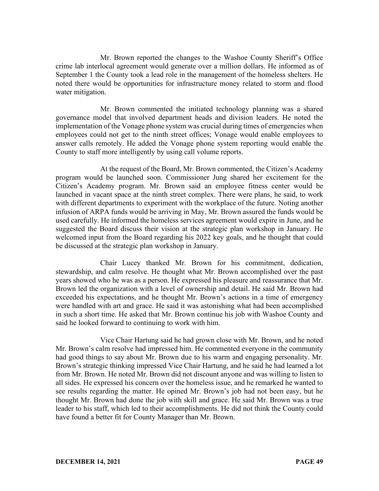Mr. Brown reported the changes to the Washoe County Sheriff's Office crime lab interlocal agreement would generate over a million dollars. He informed as of September 1 the County took a lead role in the management of the homeless shelters. He noted there would be opportunities for infrastructure money related to storm and flood water mitigation.

Mr. Brown commented the initiated technology planning was a shared governance model that involved department heads and division leaders. He noted the implementation of the Vonage phone system was crucial during times of emergencies when employees could not get to the ninth street offices; Vonage would enable employees to answer calls remotely. He added the Vonage phone system reporting would enable the County to staff more intelligently by using call volume reports.

At the request of the Board, Mr. Brown commented, the Citizen's Academy program would be launched soon. Commissioner Jung shared her excitement for the Citizen's Academy program. Mr. Brown said an employee fitness center would be launched in vacant space at the ninth street complex. There were plans, he said, to work with different departments to experiment with the workplace of the future. Noting another infusion of ARPA funds would be arriving in May, Mr. Brown assured the funds would be used carefully. He informed the homeless services agreement would expire in June, and he suggested the Board discuss their vision at the strategic plan workshop in January. He welcomed input from the Board regarding his 2022 key goals, and he thought that could be discussed at the strategic plan workshop in January.

Chair Lucey thanked Mr. Brown for his commitment, dedication, stewardship, and calm resolve. He thought what Mr. Brown accomplished over the past years showed who he was as a person. He expressed his pleasure and reassurance that Mr. Brown led the organization with a level of ownership and detail. He said Mr. Brown had exceeded his expectations, and he thought Mr. Brown's actions in a time of emergency were handled with art and grace. He said it was astonishing what had been accomplished in such a short time. He asked that Mr. Brown continue his job with Washoe County and said he looked forward to continuing to work with him.

Vice Chair Hartung said he had grown close with Mr. Brown, and he noted Mr. Brown's calm resolve had impressed him. He commented everyone in the community had good things to say about Mr. Brown due to his warm and engaging personality. Mr. Brown's strategic thinking impressed Vice Chair Hartung, and he said he had learned a lot from Mr. Brown. He noted Mr. Brown did not discount anyone and was willing to listen to all sides. He expressed his concern over the homeless issue, and he remarked he wanted to see results regarding the matter. He opined Mr. Brown's job had not been easy, but he thought Mr. Brown had done the job with skill and grace. He said Mr. Brown was a true leader to his staff, which led to their accomplishments. He did not think the County could have found a better fit for County Manager than Mr. Brown.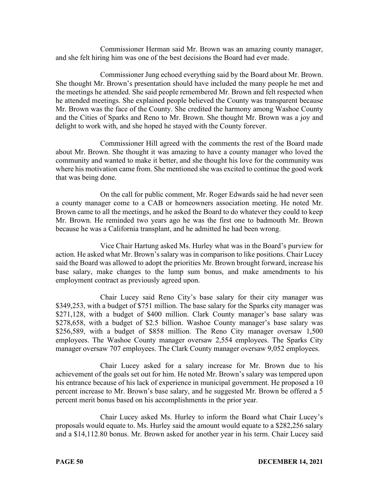Commissioner Herman said Mr. Brown was an amazing county manager, and she felt hiring him was one of the best decisions the Board had ever made.

Commissioner Jung echoed everything said by the Board about Mr. Brown. She thought Mr. Brown's presentation should have included the many people he met and the meetings he attended. She said people remembered Mr. Brown and felt respected when he attended meetings. She explained people believed the County was transparent because Mr. Brown was the face of the County. She credited the harmony among Washoe County and the Cities of Sparks and Reno to Mr. Brown. She thought Mr. Brown was a joy and delight to work with, and she hoped he stayed with the County forever.

Commissioner Hill agreed with the comments the rest of the Board made about Mr. Brown. She thought it was amazing to have a county manager who loved the community and wanted to make it better, and she thought his love for the community was where his motivation came from. She mentioned she was excited to continue the good work that was being done.

On the call for public comment, Mr. Roger Edwards said he had never seen a county manager come to a CAB or homeowners association meeting. He noted Mr. Brown came to all the meetings, and he asked the Board to do whatever they could to keep Mr. Brown. He reminded two years ago he was the first one to badmouth Mr. Brown because he was a California transplant, and he admitted he had been wrong.

Vice Chair Hartung asked Ms. Hurley what was in the Board's purview for action. He asked what Mr. Brown's salary was in comparison to like positions. Chair Lucey said the Board was allowed to adopt the priorities Mr. Brown brought forward, increase his base salary, make changes to the lump sum bonus, and make amendments to his employment contract as previously agreed upon.

Chair Lucey said Reno City's base salary for their city manager was \$349,253, with a budget of \$751 million. The base salary for the Sparks city manager was \$271,128, with a budget of \$400 million. Clark County manager's base salary was \$278,658, with a budget of \$2.5 billion. Washoe County manager's base salary was \$256,589, with a budget of \$858 million. The Reno City manager oversaw 1,500 employees. The Washoe County manager oversaw 2,554 employees. The Sparks City manager oversaw 707 employees. The Clark County manager oversaw 9,052 employees.

Chair Lucey asked for a salary increase for Mr. Brown due to his achievement of the goals set out for him. He noted Mr. Brown's salary was tempered upon his entrance because of his lack of experience in municipal government. He proposed a 10 percent increase to Mr. Brown's base salary, and he suggested Mr. Brown be offered a 5 percent merit bonus based on his accomplishments in the prior year.

Chair Lucey asked Ms. Hurley to inform the Board what Chair Lucey's proposals would equate to. Ms. Hurley said the amount would equate to a \$282,256 salary and a \$14,112.80 bonus. Mr. Brown asked for another year in his term. Chair Lucey said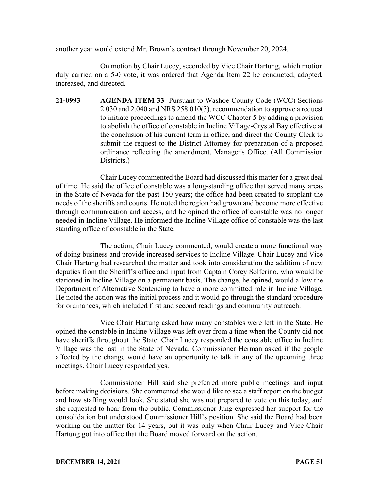another year would extend Mr. Brown's contract through November 20, 2024.

On motion by Chair Lucey, seconded by Vice Chair Hartung, which motion duly carried on a 5-0 vote, it was ordered that Agenda Item 22 be conducted, adopted, increased, and directed.

**21-0993 AGENDA ITEM 33** Pursuant to Washoe County Code (WCC) Sections 2.030 and 2.040 and NRS 258.010(3), recommendation to approve a request to initiate proceedings to amend the WCC Chapter 5 by adding a provision to abolish the office of constable in Incline Village-Crystal Bay effective at the conclusion of his current term in office, and direct the County Clerk to submit the request to the District Attorney for preparation of a proposed ordinance reflecting the amendment. Manager's Office. (All Commission Districts.)

Chair Lucey commented the Board had discussed this matter for a great deal of time. He said the office of constable was a long-standing office that served many areas in the State of Nevada for the past 150 years; the office had been created to supplant the needs of the sheriffs and courts. He noted the region had grown and become more effective through communication and access, and he opined the office of constable was no longer needed in Incline Village. He informed the Incline Village office of constable was the last standing office of constable in the State.

The action, Chair Lucey commented, would create a more functional way of doing business and provide increased services to Incline Village. Chair Lucey and Vice Chair Hartung had researched the matter and took into consideration the addition of new deputies from the Sheriff's office and input from Captain Corey Solferino, who would be stationed in Incline Village on a permanent basis. The change, he opined, would allow the Department of Alternative Sentencing to have a more committed role in Incline Village. He noted the action was the initial process and it would go through the standard procedure for ordinances, which included first and second readings and community outreach.

Vice Chair Hartung asked how many constables were left in the State. He opined the constable in Incline Village was left over from a time when the County did not have sheriffs throughout the State. Chair Lucey responded the constable office in Incline Village was the last in the State of Nevada. Commissioner Herman asked if the people affected by the change would have an opportunity to talk in any of the upcoming three meetings. Chair Lucey responded yes.

Commissioner Hill said she preferred more public meetings and input before making decisions. She commented she would like to see a staff report on the budget and how staffing would look. She stated she was not prepared to vote on this today, and she requested to hear from the public. Commissioner Jung expressed her support for the consolidation but understood Commissioner Hill's position. She said the Board had been working on the matter for 14 years, but it was only when Chair Lucey and Vice Chair Hartung got into office that the Board moved forward on the action.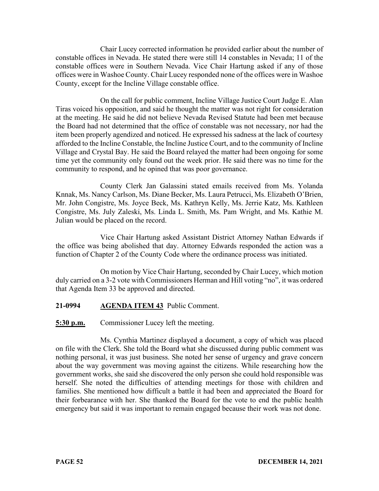Chair Lucey corrected information he provided earlier about the number of constable offices in Nevada. He stated there were still 14 constables in Nevada; 11 of the constable offices were in Southern Nevada. Vice Chair Hartung asked if any of those offices were in Washoe County. Chair Lucey responded none of the offices were in Washoe County, except for the Incline Village constable office.

On the call for public comment, Incline Village Justice Court Judge E. Alan Tiras voiced his opposition, and said he thought the matter was not right for consideration at the meeting. He said he did not believe Nevada Revised Statute had been met because the Board had not determined that the office of constable was not necessary, nor had the item been properly agendized and noticed. He expressed his sadness at the lack of courtesy afforded to the Incline Constable, the Incline Justice Court, and to the community of Incline Village and Crystal Bay. He said the Board relayed the matter had been ongoing for some time yet the community only found out the week prior. He said there was no time for the community to respond, and he opined that was poor governance.

County Clerk Jan Galassini stated emails received from Ms. Yolanda Knnak, Ms. Nancy Carlson, Ms. Diane Becker, Ms. Laura Petrucci, Ms. Elizabeth O'Brien, Mr. John Congistre, Ms. Joyce Beck, Ms. Kathryn Kelly, Ms. Jerrie Katz, Ms. Kathleen Congistre, Ms. July Zaleski, Ms. Linda L. Smith, Ms. Pam Wright, and Ms. Kathie M. Julian would be placed on the record.

Vice Chair Hartung asked Assistant District Attorney Nathan Edwards if the office was being abolished that day. Attorney Edwards responded the action was a function of Chapter 2 of the County Code where the ordinance process was initiated.

On motion by Vice Chair Hartung, seconded by Chair Lucey, which motion duly carried on a 3-2 vote with Commissioners Herman and Hill voting "no", it was ordered that Agenda Item 33 be approved and directed.

# **21-0994 AGENDA ITEM 43** Public Comment.

**5:30 p.m.** Commissioner Lucey left the meeting.

Ms. Cynthia Martinez displayed a document, a copy of which was placed on file with the Clerk. She told the Board what she discussed during public comment was nothing personal, it was just business. She noted her sense of urgency and grave concern about the way government was moving against the citizens. While researching how the government works, she said she discovered the only person she could hold responsible was herself. She noted the difficulties of attending meetings for those with children and families. She mentioned how difficult a battle it had been and appreciated the Board for their forbearance with her. She thanked the Board for the vote to end the public health emergency but said it was important to remain engaged because their work was not done.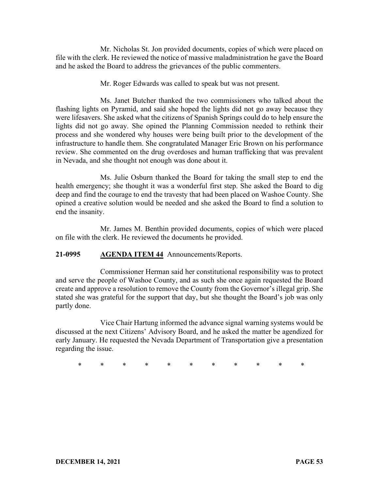Mr. Nicholas St. Jon provided documents, copies of which were placed on file with the clerk. He reviewed the notice of massive maladministration he gave the Board and he asked the Board to address the grievances of the public commenters.

Mr. Roger Edwards was called to speak but was not present.

Ms. Janet Butcher thanked the two commissioners who talked about the flashing lights on Pyramid, and said she hoped the lights did not go away because they were lifesavers. She asked what the citizens of Spanish Springs could do to help ensure the lights did not go away. She opined the Planning Commission needed to rethink their process and she wondered why houses were being built prior to the development of the infrastructure to handle them. She congratulated Manager Eric Brown on his performance review. She commented on the drug overdoses and human trafficking that was prevalent in Nevada, and she thought not enough was done about it.

Ms. Julie Osburn thanked the Board for taking the small step to end the health emergency; she thought it was a wonderful first step. She asked the Board to dig deep and find the courage to end the travesty that had been placed on Washoe County. She opined a creative solution would be needed and she asked the Board to find a solution to end the insanity.

Mr. James M. Benthin provided documents, copies of which were placed on file with the clerk. He reviewed the documents he provided.

#### **21-0995 AGENDA ITEM 44** Announcements/Reports.

Commissioner Herman said her constitutional responsibility was to protect and serve the people of Washoe County, and as such she once again requested the Board create and approve a resolution to remove the County from the Governor's illegal grip. She stated she was grateful for the support that day, but she thought the Board's job was only partly done.

Vice Chair Hartung informed the advance signal warning systems would be discussed at the next Citizens' Advisory Board, and he asked the matter be agendized for early January. He requested the Nevada Department of Transportation give a presentation regarding the issue.

\* \* \* \* \* \* \* \* \* \* \*